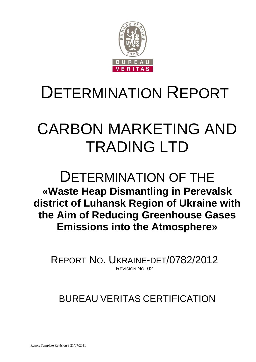

# DETERMINATION REPORT

# СARBON MARKETING AND TRADING LTD

## DETERMINATION OF THE **«Waste Heap Dismantling in Perevalsk district of Luhansk Region of Ukraine with the Aim of Reducing Greenhouse Gases Emissions into the Atmosphere»**

REPORT NO. UKRAINE-DET/0782/2012 REVISION NO. 02

## BUREAU VERITAS CERTIFICATION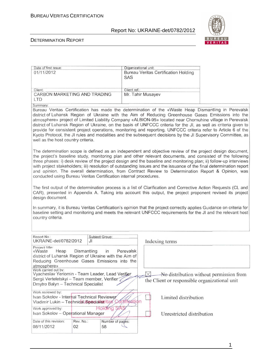

#### DETERMINATION REPORT

| Date of first issue:                                                                                                                                                                                                                                                                                                                                                                                                                                                                                                                                                                                                                                                                                                                                                                                                                                                                                                                                                                                                                                                                                                                                            |                        | Organizational unit:                                                                                                                                                                                                                                                                                                                                                                                                                                                                                                                                                                                                                                                        |  |  |  |
|-----------------------------------------------------------------------------------------------------------------------------------------------------------------------------------------------------------------------------------------------------------------------------------------------------------------------------------------------------------------------------------------------------------------------------------------------------------------------------------------------------------------------------------------------------------------------------------------------------------------------------------------------------------------------------------------------------------------------------------------------------------------------------------------------------------------------------------------------------------------------------------------------------------------------------------------------------------------------------------------------------------------------------------------------------------------------------------------------------------------------------------------------------------------|------------------------|-----------------------------------------------------------------------------------------------------------------------------------------------------------------------------------------------------------------------------------------------------------------------------------------------------------------------------------------------------------------------------------------------------------------------------------------------------------------------------------------------------------------------------------------------------------------------------------------------------------------------------------------------------------------------------|--|--|--|
| 01/11/2012                                                                                                                                                                                                                                                                                                                                                                                                                                                                                                                                                                                                                                                                                                                                                                                                                                                                                                                                                                                                                                                                                                                                                      | <b>SAS</b>             | <b>Bureau Veritas Certification Holding</b>                                                                                                                                                                                                                                                                                                                                                                                                                                                                                                                                                                                                                                 |  |  |  |
|                                                                                                                                                                                                                                                                                                                                                                                                                                                                                                                                                                                                                                                                                                                                                                                                                                                                                                                                                                                                                                                                                                                                                                 |                        |                                                                                                                                                                                                                                                                                                                                                                                                                                                                                                                                                                                                                                                                             |  |  |  |
| Client:                                                                                                                                                                                                                                                                                                                                                                                                                                                                                                                                                                                                                                                                                                                                                                                                                                                                                                                                                                                                                                                                                                                                                         | Client ref.:           |                                                                                                                                                                                                                                                                                                                                                                                                                                                                                                                                                                                                                                                                             |  |  |  |
| CARBON MARKETING AND TRADING                                                                                                                                                                                                                                                                                                                                                                                                                                                                                                                                                                                                                                                                                                                                                                                                                                                                                                                                                                                                                                                                                                                                    |                        | Mr. Tahir Musayev                                                                                                                                                                                                                                                                                                                                                                                                                                                                                                                                                                                                                                                           |  |  |  |
| <b>LTD</b>                                                                                                                                                                                                                                                                                                                                                                                                                                                                                                                                                                                                                                                                                                                                                                                                                                                                                                                                                                                                                                                                                                                                                      |                        |                                                                                                                                                                                                                                                                                                                                                                                                                                                                                                                                                                                                                                                                             |  |  |  |
| Summary:                                                                                                                                                                                                                                                                                                                                                                                                                                                                                                                                                                                                                                                                                                                                                                                                                                                                                                                                                                                                                                                                                                                                                        |                        |                                                                                                                                                                                                                                                                                                                                                                                                                                                                                                                                                                                                                                                                             |  |  |  |
| well as the host country criteria.                                                                                                                                                                                                                                                                                                                                                                                                                                                                                                                                                                                                                                                                                                                                                                                                                                                                                                                                                                                                                                                                                                                              |                        | Bureau Veritas Certification has made the determination of the «Waste Heap Dismantling in Perevalsk<br>district of Luhansk Region of Ukraine with the Aim of Reducing Greenhouse Gases Emissions into the<br>atmosphere» project of Limited Liability Company «ALBION-95» located near Chornuhine village in Perevalsk<br>district of Luhansk Region of Ukraine, on the basis of UNFCCC criteria for the JI, as well as criteria given to<br>provide for consistent project operations, monitoring and reporting. UNFCCC criteria refer to Article 6 of the<br>Kyoto Protocol, the JI rules and modalities and the subsequent decisions by the JI Supervisory Committee, as |  |  |  |
| The determination scope is defined as an independent and objective review of the project design document,<br>the project's baseline study, monitoring plan and other relevant documents, and consisted of the following<br>three phases: i) desk review of the project design and the baseline and monitoring plan; ii) follow-up interviews<br>with project stakeholders; iii) resolution of outstanding issues and the issuance of the final determination report<br>and opinion. The overall determination, from Contract Review to Determination Report & Opinion, was<br>conducted using Bureau Veritas Certification internal procedures.<br>The first output of the determination process is a list of Clarification and Corrective Action Requests (CL and<br>CAR), presented in Appendix A. Taking into account this output, the project proponent revised its project<br>design document.<br>In summary, it is Bureau Veritas Certification's opinion that the project correctly applies Guidance on criteria for<br>baseline setting and monitoring and meets the relevant UNFCCC requirements for the JI and the relevant host<br>country criteria. |                        |                                                                                                                                                                                                                                                                                                                                                                                                                                                                                                                                                                                                                                                                             |  |  |  |
|                                                                                                                                                                                                                                                                                                                                                                                                                                                                                                                                                                                                                                                                                                                                                                                                                                                                                                                                                                                                                                                                                                                                                                 |                        |                                                                                                                                                                                                                                                                                                                                                                                                                                                                                                                                                                                                                                                                             |  |  |  |
| Report No.:<br>UKRAINE-det/0782/2012<br>JI.                                                                                                                                                                                                                                                                                                                                                                                                                                                                                                                                                                                                                                                                                                                                                                                                                                                                                                                                                                                                                                                                                                                     | Subject Group:         | Indexing terms                                                                                                                                                                                                                                                                                                                                                                                                                                                                                                                                                                                                                                                              |  |  |  |
| Project title:<br>Dismantling<br>«Waste<br>Heap<br>district of Luhansk Region of Ukraine with the Aim of<br>Reducing Greenhouse Gases Emissions into the<br>atmosphere»                                                                                                                                                                                                                                                                                                                                                                                                                                                                                                                                                                                                                                                                                                                                                                                                                                                                                                                                                                                         | Perevalsk<br>in        |                                                                                                                                                                                                                                                                                                                                                                                                                                                                                                                                                                                                                                                                             |  |  |  |
| Work carried out by:<br>Vyacheslav Yeriomin - Team Leader, Lead Verifier<br>Sergii Verteletskyi - Team member, Verifier<br>Dmytro Balyn - Technical Specialist                                                                                                                                                                                                                                                                                                                                                                                                                                                                                                                                                                                                                                                                                                                                                                                                                                                                                                                                                                                                  |                        | No distribution without permission from<br>the Client or responsible organizational unit                                                                                                                                                                                                                                                                                                                                                                                                                                                                                                                                                                                    |  |  |  |
| Work reviewed by:<br>Ivan Sokolov - Internal Technical Reviewer<br>Vladimir Lukin - Technidal Specialist itas                                                                                                                                                                                                                                                                                                                                                                                                                                                                                                                                                                                                                                                                                                                                                                                                                                                                                                                                                                                                                                                   | tíffeátion             | Limited distribution                                                                                                                                                                                                                                                                                                                                                                                                                                                                                                                                                                                                                                                        |  |  |  |
| Work approved by:<br>Ivan Sokolov - Operational Manager                                                                                                                                                                                                                                                                                                                                                                                                                                                                                                                                                                                                                                                                                                                                                                                                                                                                                                                                                                                                                                                                                                         | Holdfrig               | Unrestricted distribution                                                                                                                                                                                                                                                                                                                                                                                                                                                                                                                                                                                                                                                   |  |  |  |
| Date of this revision:<br>Rev. No.:<br>08/11/2012<br>02                                                                                                                                                                                                                                                                                                                                                                                                                                                                                                                                                                                                                                                                                                                                                                                                                                                                                                                                                                                                                                                                                                         | Number of pages:<br>58 |                                                                                                                                                                                                                                                                                                                                                                                                                                                                                                                                                                                                                                                                             |  |  |  |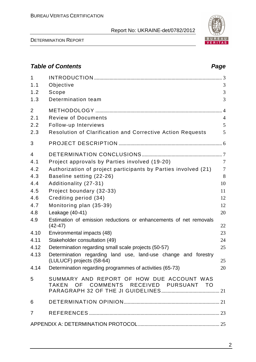DETERMINATION REPORT

| 1.2<br>1.3     | Scope<br>Determination team                                                                 | 3<br>3         |
|----------------|---------------------------------------------------------------------------------------------|----------------|
| $\overline{2}$ |                                                                                             |                |
| 2.1            | <b>Review of Documents</b>                                                                  | $\overline{4}$ |
| 2.2            | Follow-up Interviews                                                                        | 5              |
| 2.3            | Resolution of Clarification and Corrective Action Requests                                  | 5              |
| 3              |                                                                                             |                |
| $\overline{4}$ |                                                                                             |                |
| 4.1            | Project approvals by Parties involved (19-20)                                               | $\overline{7}$ |
| 4.2            | Authorization of project participants by Parties involved (21)                              | $\overline{7}$ |
| 4.3            | Baseline setting (22-26)                                                                    | 8              |
| 4.4            | Additionality (27-31)                                                                       | 10             |
| 4.5            | Project boundary (32-33)                                                                    | 11             |
| 4.6            | Crediting period (34)                                                                       | 12             |
| 4.7            | Monitoring plan (35-39)                                                                     | 12             |
| 4.8            | Leakage (40-41)                                                                             | 20             |
| 4.9            | Estimation of emission reductions or enhancements of net removals                           |                |
|                | $(42-47)$                                                                                   | 22             |
| 4.10           | Environmental impacts (48)                                                                  | 23             |
| 4.11           | Stakeholder consultation (49)                                                               | 24             |
| 4.12           | Determination regarding small scale projects (50-57)                                        | 25             |
| 4.13           | Determination regarding land use, land-use change and forestry<br>(LULUCF) projects (58-64) | 25             |
| 4.14           | Determination regarding programmes of activities (65-73)                                    | 20             |
| 5              | SUMMARY AND REPORT OF HOW DUE ACCOUNT WAS                                                   |                |

TAKEN OF COMMENTS RECEIVED PURSUANT TO PARAGRAPH 32 OF THE JI GUIDELINES............................................. 21

6 DETERMINATION OPINION.......................................................................... 21

7 REFERENCES ..................................................................................................... 23

APPENDIX A: DETERMINATION PROTOCOL............................................................... 25

1 INTRODUCTION ................................................................................................... 3 1.1 Objective 3



## **Table of Contents Page 2018**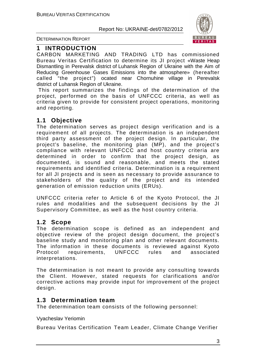

DETERMINATION REPORT

#### **1 INTRODUCTION**

СARBON MARKETING AND TRADING LTD has commissioned Bureau Veritas Certification to determine its JI project «Waste Heap Dismantling in Perevalsk district of Luhansk Region of Ukraine with the Aim of Reducing Greenhouse Gases Emissions into the atmosphere» (hereafter called "the project") ocated near Chornuhine village in Perevalsk district of Luhansk Region of Ukraine.

 This report summarizes the findings of the determination of the project, performed on the basis of UNFCCC criteria, as well as criteria given to provide for consistent project operations, monitoring and reporting.

#### **1.1 Objective**

The determination serves as project design verification and is a requirement of all projects. The determination is an independent third party assessment of the project design. In particular, the project's baseline, the monitoring plan (MP), and the project's compliance with relevant UNFCCC and host country criteria are determined in order to confirm that the project design, as documented, is sound and reasonable, and meets the stated requirements and identified criteria. Determination is a requirement for all JI projects and is seen as necessary to provide assurance to stakeholders of the quality of the project and its intended generation of emission reduction units (ERUs).

UNFCCC criteria refer to Article 6 of the Kyoto Protocol, the JI rules and modalities and the subsequent decisions by the JI Supervisory Committee, as well as the host country criteria.

#### **1.2 Scope**

The determination scope is defined as an independent and objective review of the project design document, the project's baseline study and monitoring plan and other relevant documents. The information in these documents is reviewed against Kyoto Protocol requirements, UNFCCC rules and associated interpretations.

The determination is not meant to provide any consulting towards the Client. However, stated requests for clarifications and/or corrective actions may provide input for improvement of the project design.

#### **1.3 Determination team**

The determination team consists of the following personnel:

#### Vyacheslav Yeriomin

Bureau Veritas Certification Team Leader, Climate Change Verifier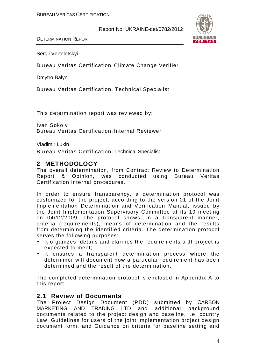

DETERMINATION REPORT

Sergii Verteletskyi

Bureau Veritas Certification Climate Change Verifier

Dmytro Balyn

Bureau Veritas Certification, Technical Specialist

This determination report was reviewed by:

Ivan Sokolv Bureau Veritas Certification, Internal Reviewer

Vladimir Lukin

Bureau Veritas Certification, Technical Specialist

#### **2 METHODOLOGY**

The overall determination, from Contract Review to Determination Report & Opinion, was conducted using Bureau Veritas Certification internal procedures.

In order to ensure transparency, a determination protocol was customized for the project, according to the version 01 of the Joint Implementation Determination and Verification Manual, issued by the Joint Implementation Supervisory Committee at its 19 meeting on 04/12/2009. The protocol shows, in a transparent manner, criteria (requirements), means of determination and the results from determining the identified criteria. The determination protocol serves the following purposes:

- It organizes, details and clarifies the requirements a JI project is expected to meet;
- It ensures a transparent determination process where the determiner will document how a particular requirement has been determined and the result of the determination.

The completed determination protocol is enclosed in Appendix A to this report.

#### **2.1 Review of Documents**

The Project Design Document (PDD) submitted by СARBON MARKETING AND TRADING LTD and additional background documents related to the project design and baseline, i.e. country Law, Guidelines for users of the joint implementation project design document form, and Guidance on criteria for baseline setting and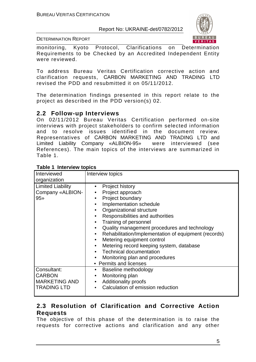

DETERMINATION REPORT

monitoring, Kyoto Protocol, Clarifications on Determination Requirements to be Checked by an Accredited Independent Entity were reviewed.

To address Bureau Veritas Certification corrective action and clarification requests, СARBON MARKETING AND TRADING LTD revised the PDD and resubmitted it on 05/11/2012.

The determination findings presented in this report relate to the project as described in the PDD version(s) 02.

#### **2.2 Follow-up Interviews**

On 02/11/2012 Bureau Veritas Certification performed on-site interviews with project stakeholders to confirm selected information and to resolve issues identified in the document review. Representatives of СARBON MARKETING AND TRADING LTD and Limited Liability Company «ALBION-95» were interviewed (see References). The main topics of the interviews are summarized in Table 1.

| Interviewed<br>organization                                                | Interview topics                                                                                                                                                                                                                                                                                                                                                                                                                                                                                                                                                                 |
|----------------------------------------------------------------------------|----------------------------------------------------------------------------------------------------------------------------------------------------------------------------------------------------------------------------------------------------------------------------------------------------------------------------------------------------------------------------------------------------------------------------------------------------------------------------------------------------------------------------------------------------------------------------------|
| <b>Limited Liability</b><br>Company «ALBION-<br>$95*$                      | Project history<br>Project approach<br>Project boundary<br>$\bullet$<br>Implementation schedule<br>$\bullet$<br>Organizational structure<br>$\bullet$<br>Responsibilities and authorities<br>$\bullet$<br>Training of personnel<br>$\bullet$<br>Quality management procedures and technology<br>$\bullet$<br>Rehabilitation/Implementation of equipment (records)<br>$\bullet$<br>Metering equipment control<br>$\bullet$<br>Metering record keeping system, database<br>$\bullet$<br><b>Technical documentation</b><br>Monitoring plan and procedures<br>• Permits and licenses |
| Consultant:<br><b>CARBON</b><br><b>MARKETING AND</b><br><b>TRADING LTD</b> | Baseline methodology<br>$\bullet$<br>Monitoring plan<br><b>Additionality proofs</b><br>$\bullet$<br>Calculation of emission reduction<br>$\bullet$                                                                                                                                                                                                                                                                                                                                                                                                                               |

#### **Table 1 Interview topics**

#### **2.3 Resolution of Clarification and Corrective Action Requests**

The objective of this phase of the determination is to raise the requests for corrective actions and clarification and any other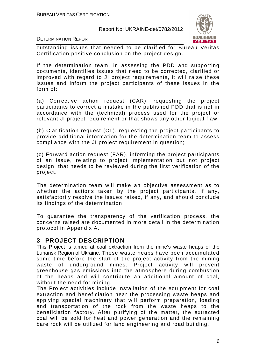

DETERMINATION REPORT

outstanding issues that needed to be clarified for Bureau Veritas Certification positive conclusion on the project design.

If the determination team, in assessing the PDD and supporting documents, identifies issues that need to be corrected, clarified or improved with regard to JI project requirements, it will raise these issues and inform the project participants of these issues in the form of:

(a) Corrective action request (CAR), requesting the project participants to correct a mistake in the published PDD that is not in accordance with the (technical) process used for the project or relevant JI project requirement or that shows any other logical flaw;

(b) Clarification request (CL), requesting the project participants to provide additional information for the determination team to assess compliance with the JI project requirement in question;

(c) Forward action request (FAR), informing the project participants of an issue, relating to project implementation but not project design, that needs to be reviewed during the first verification of the project.

The determination team will make an objective assessment as to whether the actions taken by the project participants, if any, satisfactorily resolve the issues raised, if any, and should conclude its findings of the determination.

To guarantee the transparency of the verification process, the concerns raised are documented in more detail in the determination protocol in Appendix A.

#### **3 PROJECT DESCRIPTION**

This Project is aimed at coal extraction from the mine's waste heaps of the Luhansk Region of Ukraine. These waste heaps have been accumulated some time before the start of the project activity from the mining waste of underground mines. Project activity will prevent greenhouse gas emissions into the atmosphere during combustion of the heaps and will contribute an additional amount of coal, without the need for mining.

The Project activities include installation of the equipment for coal extraction and beneficiation near the processing waste heaps and applying special machinery that will perform preparation, loading and transportation of the rock from the waste heaps to the beneficiation factory. After purifying of the matter, the extracted coal will be sold for heat and power generation and the remaining bare rock will be utilized for land engineering and road building.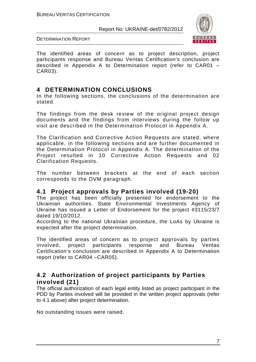

DETERMINATION REPORT

The identified areas of concern as to project description, project participants response and Bureau Veritas Certification's conclusion are described in Appendix A to Determination report (refer to CAR01 – CAR03).

#### **4 DETERMINATION CONCLUSIONS**

In the following sections, the conclusions of the determination are stated.

The findings from the desk review of the original project design documents and the findings from interviews during the follow up visit are described in the Determination Protocol in Appendix A.

The Clarification and Corrective Action Requests are stated, where applicable, in the following sections and are further documented in the Determination Protocol in Appendix A. The determination of the Project resulted in 10 Corrective Action Requests and 02 Clarification Requests.

The number between brackets at the end of each section corresponds to the DVM paragraph.

#### **4.1 Project approvals by Parties involved (19-20)**

The project has been officially presented for endorsement to the Ukrainian authorities. State Environmental Investments Agency of Ukraine has issued a Letter of Endorsement for the project #3115/23/7 dated 19/10/2012.

According to the national Ukrainian procedure, the LoAs by Ukraine is expected after the project determination.

The identified areas of concern as to project approvals by parties involved, project participants response and Bureau Veritas Certification's conclusion are described in Appendix A to Determination report (refer to CAR04 –CAR05).

#### **4.2 Authorization of project participants by Parties involved (21)**

The official authorization of each legal entity listed as project participant in the PDD by Parties involved will be provided in the written project approvals (refer to 4.1 above) after project determination.

No outstanding issues were raised.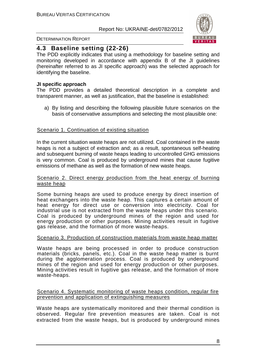

#### DETERMINATION REPORT

#### **4.3 Baseline setting (22-26)**

The PDD explicitly indicates that using a methodology for baseline setting and monitoring developed in accordance with appendix B of the JI guidelines (hereinafter referred to as JI specific approach) was the selected approach for identifying the baseline.

#### **JI specific approach**

The PDD provides a detailed theoretical description in a complete and transparent manner, as well as justification, that the baseline is established:

a) By listing and describing the following plausible future scenarios on the basis of conservative assumptions and selecting the most plausible one:

#### Scenario 1. Continuation of existing situation

In the current situation waste heaps are not utilized. Coal contained in the waste heaps is not a subject of extraction and; as a result, spontaneous self-heating and subsequent burning of waste heaps leading to uncontrolled GHG emissions is very common. Coal is produced by underground mines that cause fugitive emissions of methane as well as the formation of new waste heaps.

#### Scenario 2. Direct energy production from the heat energy of burning waste heap

Some burning heaps are used to produce energy by direct insertion of heat exchangers into the waste heap. This captures a certain amount of heat energy for direct use or conversion into electricity. Coal for industrial use is not extracted from the waste heaps under this scenario. Coal is produced by underground mines of the region and used for energy production or other purposes. Mining activities result in fugitive gas release, and the formation of more waste-heaps.

#### Scenario 3. Production of construction materials from waste heap matter

Waste heaps are being processed in order to produce construction materials (bricks, panels, etc.). Coal in the waste heap matter is burnt during the agglomeration process. Coal is produced by underground mines of the region and used for energy production or other purposes. Mining activities result in fugitive gas release, and the formation of more waste-heaps.

#### Scenario 4. Systematic monitoring of waste heaps condition, regular fire prevention and application of extinguishing measures

Waste heaps are systematically monitored and their thermal condition is observed. Regular fire prevention measures are taken. Coal is not extracted from the waste heaps, but is produced by underground mines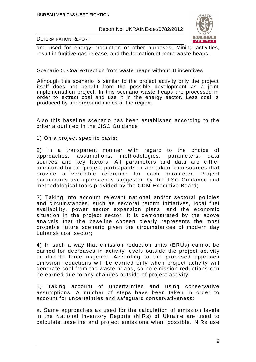

#### DETERMINATION REPORT

and used for energy production or other purposes. Mining activities, result in fugitive gas release, and the formation of more waste-heaps.

#### Scenario 5. Coal extraction from waste heaps without JI incentives

Although this scenario is similar to the project activity only the project itself does not benefit from the possible development as a joint implementation project. In this scenario waste heaps are processed in order to extract coal and use it in the energy sector. Less coal is produced by underground mines of the region.

Also this baseline scenario has been established according to the criteria outlined in the JISC Guidance:

1) On a project specific basis;

2) In a transparent manner with regard to the choice of approaches, assumptions, methodologies, parameters, data sources and key factors. All parameters and data are either monitored by the project participants or are taken from sources that provide a verifiable reference for each parameter. Project participants use approaches suggested by the JISC Guidance and methodological tools provided by the CDM Executive Board;

3) Taking into account relevant national and/or sectoral policies and circumstances, such as sectoral reform initiatives, local fuel availability, power sector expansion plans, and the economic situation in the project sector. It is demonstrated by the above analysis that the baseline chosen clearly represents the most probable future scenario given the circumstances of modern day Luhansk coal sector;

4) In such a way that emission reduction units (ERUs) cannot be earned for decreases in activity levels outside the project activity or due to force majeure. According to the proposed approach emission reductions will be earned only when project activity will generate coal from the waste heaps, so no emission reductions can be earned due to any changes outside of project activity.

5) Taking account of uncertainties and using conservative assumptions. A number of steps have been taken in order to account for uncertainties and safeguard conservativeness:

a. Same approaches as used for the calculation of emission levels in the National Inventory Reports (NIRs) of Ukraine are used to calculate baseline and project emissions when possible. NIRs use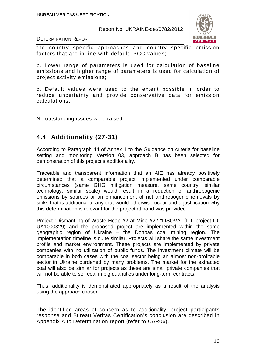

DETERMINATION REPORT

the country specific approaches and country specific emission factors that are in line with default IPCC values;

b. Lower range of parameters is used for calculation of baseline emissions and higher range of parameters is used for calculation of project activity emissions;

c. Default values were used to the extent possible in order to reduce uncertainty and provide conservative data for emission calculations.

No outstanding issues were raised.

### **4.4 Additionality (27-31)**

According to Paragraph 44 of Annex 1 to the Guidance on criteria for baseline setting and monitoring Version 03, approach B has been selected for demonstration of this project's additionality.

Traceable and transparent information that an AIE has already positively determined that a comparable project implemented under comparable circumstances (same GHG mitigation measure, same country, similar technology, similar scale) would result in a reduction of anthropogenic emissions by sources or an enhancement of net anthropogenic removals by sinks that is additional to any that would otherwise occur and a justification why this determination is relevant for the project at hand was provided.

Project "Dismantling of Waste Heap #2 at Mine #22 "LISOVA" (ITL project ID: UA1000329) and the proposed project are implemented within the same geographic region of Ukraine – the Donbas coal mining region. The implementation timeline is quite similar. Projects will share the same investment profile and market environment. These projects are implemented by private companies with no utilization of public funds. The investment climate will be comparable in both cases with the coal sector being an almost non-profitable sector in Ukraine burdened by many problems. The market for the extracted coal will also be similar for projects as these are small private companies that will not be able to sell coal in big quantities under long-term contracts.

Thus, additionality is demonstrated appropriately as a result of the analysis using the approach chosen.

The identified areas of concern as to additionality, project participants response and Bureau Veritas Certification's conclusion are described in Appendix A to Determination report (refer to CAR06).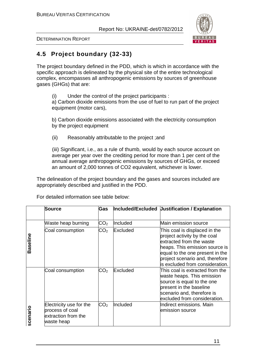

DETERMINATION REPORT

## **4.5 Project boundary (32-33)**

The project boundary defined in the PDD, which is which in accordance with the specific approach is delineated by the physical site of the entire technological complex, encompasses all anthropogenic emissions by sources of greenhouse gases (GHGs) that are:

(i) Under the control of the project participants :

a) Carbon dioxide emissions from the use of fuel to run part of the project equipment (motor cars),

b) Carbon dioxide emissions associated with the electricity consumption by the project equipment

(ii) Reasonably attributable to the project ;and

(iii) Significant, i.e., as a rule of thumb, would by each source account on average per year over the crediting period for more than 1 per cent of the annual average anthropogenic emissions by sources of GHGs, or exceed an amount of 2,000 tonnes of CO2 equivalent, whichever is lower.

The delineation of the project boundary and the gases and sources included are appropriately described and justified in the PDD.

|          | <b>Source</b>                                                                   | Gas             |          | Included/Excluded Uustification / Explanation                                                                                                                                                                                         |
|----------|---------------------------------------------------------------------------------|-----------------|----------|---------------------------------------------------------------------------------------------------------------------------------------------------------------------------------------------------------------------------------------|
|          | Waste heap burning                                                              | CO <sub>2</sub> | Included | Main emission source                                                                                                                                                                                                                  |
| Baseline | Coal consumption                                                                | CO <sub>2</sub> | Excluded | This coal is displaced in the<br>project activity by the coal<br>extracted from the waste<br>heaps. This emission source is<br>equal to the one present in the<br>project scenario and, therefore<br>lis excluded from consideration. |
|          | Coal consumption                                                                | CO <sub>2</sub> | Excluded | This coal is extracted from the<br>waste heaps. This emission<br>source is equal to the one<br>present in the baseline<br>scenario and, therefore is<br>excluded from consideration.                                                  |
| scenario | Electricity use for the<br>process of coal<br>extraction from the<br>waste heap | CO <sub>2</sub> | Included | Indirect emissions. Main<br>emission source                                                                                                                                                                                           |

For detailed information see table below: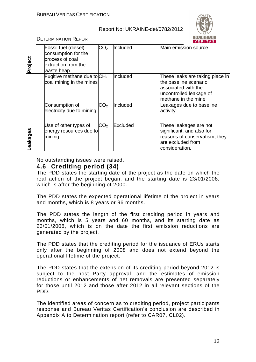

DETERMINATION REPORT

| Project | Fossil fuel (diesel)<br>consumption for the<br>process of coal<br>extraction from the<br>waste heap | $\mathsf{CO_2}$ | Included | Main emission source                                                                                                               |
|---------|-----------------------------------------------------------------------------------------------------|-----------------|----------|------------------------------------------------------------------------------------------------------------------------------------|
|         | Fugitive methane due to $CH4$<br>coal mining in the mines                                           |                 | Included | These leaks are taking place in<br>the baseline scenario<br>lassociated with the<br>uncontrolled leakage of<br>methane in the mine |
|         | Consumption of<br>electricity due to mining                                                         | CO <sub>2</sub> | Included | Leakages due to baseline<br>activity                                                                                               |
| eakages | Use of other types of<br>energy resources due to<br>mining                                          | CO <sub>2</sub> | Excluded | These leakages are not<br>significant, and also for<br>reasons of conservatism, they<br>are excluded from<br>consideration.        |

No outstanding issues were raised.

#### **4.6 Crediting period (34)**

The PDD states the starting date of the project as the date on which the real action of the project began, and the starting date is 23/01/2008, which is after the beginning of 2000.

The PDD states the expected operational lifetime of the project in years and months, which is 8 years or 96 months.

The PDD states the length of the first crediting period in years and months, which is 5 years and 60 months, and its starting date as 23/01/2008, which is on the date the first emission reductions are generated by the project.

The PDD states that the crediting period for the issuance of ERUs starts only after the beginning of 2008 and does not extend beyond the operational lifetime of the project.

The PDD states that the extension of its crediting period beyond 2012 is subject to the host Party approval, and the estimates of emission reductions or enhancements of net removals are presented separately for those until 2012 and those after 2012 in all relevant sections of the PDD.

The identified areas of concern as to crediting period, project participants response and Bureau Veritas Certification's conclusion are described in Appendix A to Determination report (refer to CAR07, CL02).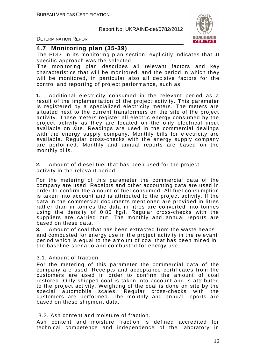

DETERMINATION REPORT

#### **4.7 Monitoring plan (35-39)**

The PDD, in its monitoring plan section, explicitly indicates that JI specific approach was the selected.

The monitoring plan describes all relevant factors and key characteristics that will be monitored, and the period in which they will be monitored, in particular also all decisive factors for the control and reporting of project performance, such as:

**1.** Additional electricity consumed in the relevant period as a result of the implementation of the project activity. This parameter is registered by a specialized electricity meters. The meters are situated next to the current transformers on the site of the project activity. These meters register all electric energy consumed by the project activity as they are located on the only electrical input available on site. Readings are used in the commercial dealings with the energy supply company. Monthly bills for electricity are available. Regular cross-checks with the energy supply company are performed. Monthly and annual reports are based on the monthly bills.

**2.** Amount of diesel fuel that has been used for the project activity in the relevant period.

For the metering of this parameter the commercial data of the company are used. Receipts and other accounting data are used in order to confirm the amount of fuel consumed. All fuel consumption is taken into account and is attributed to the project activity. If the data in the commercial documents mentioned are provided in litres rather than in tonnes the data in litres are converted into tonnes using the density of 0,85 kg/l. Regular cross-checks with the suppliers are carried out. The monthly and annual reports are based on these data.

**3.** Amount of coal that has been extracted from the waste heaps and combusted for energy use in the project activity in the relevant period which is equal to the amount of coal that has been mined in the baseline scenario and combusted for energy use.

3.1. Amount of fraction.

For the metering of this parameter the commercial data of the company are used. Receipts and acceptance certificates from the customers are used in order to confirm the amount of coal restored. Only shipped coal is taken into account and is attributed to the project activity. Weighting of the coal is done on site by the special automobile scales. Regular cross-checks with the customers are performed. The monthly and annual reports are based on these shipment data.

#### 3.2. Ash content and moisture of fraction.

Ash content and moisture fraction is defined accredited for technical competence and independence of the laboratory in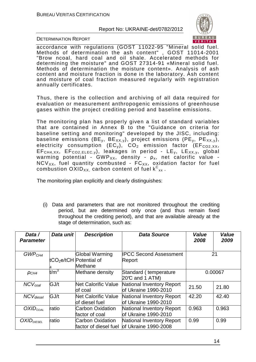

DETERMINATION REPORT

accordance with regulations (GOST 11022-95 "Mineral solid fuel. Methods of determination the ash content" , GOST 11014-2001 "Brow ncoal, hard coal and oil shale. Accelerated methods for determining the moisture" and GOST 27314-91 «Mineral solid fuel. Methods of determination the moisture content». Analysis of ash content and moisture fraction is done in the laboratory. Ash content and moisture of coal fraction measured regularly with registration annually certificates.

Thus, there is the collection and archiving of all data required for evaluation or measurement anthropogenic emissions of greenhouse gases within the project crediting period and baseline emissions.

The monitoring plan has properly given a list of standard variables that are contained in Annex B to the "Guidance on criteria for baseline setting and monitoring" developed by the JISC, including: baseline emissions (BE<sub>y</sub>, BE<sub>XX, y</sub>), project emissions (PE<sub>y</sub>, PE<sub>XX, y</sub>), electricity consumption (EC<sub>y</sub>), CO<sub>2</sub> emission factor (EF<sub>CO2</sub>  $_{XX}$ ,  $EF<sub>CH4, XX</sub>$ ,  $EF<sub>CO2,ELEC,V</sub>$ , leakages in period -  $LE<sub>v</sub>$ ,  $LE<sub>XX,V</sub>$ , global warming potential - GWP<sub>XX</sub>, density -  $\rho_{x}$ , net calorific value - $NCV_{XX}$ , fuel quantity combusted -  $FC_{XX}$ , oxidation factor for fuel combustion  $\mathsf{OXID}_{\mathsf{XX}}$  carbon content of fuel  $\mathsf{k^C}_{\mathsf{xx}}$  .

The monitoring plan explicitly and clearly distinguishes:

(i) Data and parameters that are not monitored throughout the crediting period, but are determined only once (and thus remain fixed throughout the crediting period), and that are available already at the stage of determination, such as:

| Data /<br><b>Parameter</b> | Data unit | <b>Description</b>                                    | <b>Data Source</b>                                        | Value<br>2008 | Value<br>2009 |
|----------------------------|-----------|-------------------------------------------------------|-----------------------------------------------------------|---------------|---------------|
| GWP <sub>CH4</sub>         |           | Global Warming<br>tCO <sub>2</sub> e/tCH Potential of | <b>IPCC Second Assessment</b><br>Report                   |               | 21            |
|                            |           | Methane                                               |                                                           |               |               |
| $\rho_{CH4}$               | $t/m^3$   | Methane density                                       | Standard (temperature<br>20℃ and 1 ATM)                   |               | 0.00067       |
| $NCV_{coal}$               | GJ/t      | <b>Net Calorific Value</b><br>of coal                 | National Inventory Report<br><b>lof Ukraine 1990-2010</b> | 21.50         | 21.80         |
| $NCV_{diesel}$             | GJ/t      | <b>Net Calorific Value</b><br>of diesel fuel          | National Inventory Report<br><b>lof Ukraine 1990-2010</b> | 42.20         | 42.40         |
| $OXID_{COAL}$              | ratio     | <b>Carbon Oxidation</b><br>factor of coal             | National Inventory Report<br>of Ukraine 1990-2010         | 0.963         | 0.963         |
| OXID <sub>DIESEL</sub>     | ratio     | Carbon Oxidation<br>factor of diesel fuel             | National Inventory Report<br>of Ukraine 1990-2008         | 0.99          | 0.99          |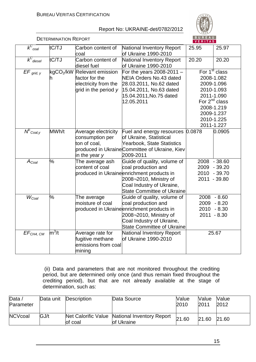

|                                | <b>DETERMINATION REPORT</b> |                                                                                     |                                                                                                                                                                                             | <b>BUREAU</b><br>VERITAS |                                                                                                                                                                 |
|--------------------------------|-----------------------------|-------------------------------------------------------------------------------------|---------------------------------------------------------------------------------------------------------------------------------------------------------------------------------------------|--------------------------|-----------------------------------------------------------------------------------------------------------------------------------------------------------------|
| $\overline{K}_{\text{coal}}^C$ | tC/TJ                       | Carbon content of<br>coal                                                           | National Inventory Report<br>of Ukraine 1990-2010                                                                                                                                           | 25.95                    | 25.97                                                                                                                                                           |
| $k_{\text{dissel}}^C$          | tC/TJ                       | Carbon content of<br>diesel fuel                                                    | National Inventory Report<br>of Ukraine 1990-2010                                                                                                                                           | 20.20                    | 20.20                                                                                                                                                           |
| $EF_{grid, y}$                 | kgCO <sub>2</sub> /kW       | Relevant emission<br>factor for the<br>electricity from the<br>grid in the period y | For the years 2008-2011 $-$<br>NEIA Orders No.43 dated<br>28.03.2011, No.62 dated<br>15.04.2011, No.63 dated<br>15.04.2011, No.75 dated<br>12.05.2011                                       |                          | For 1 <sup>st</sup> class<br>2008-1.082<br>2009-1.096<br>2010-1.093<br>2011-1.090<br>For $2^{nd}$ class<br>2008-1.219<br>2009-1.237<br>2010-1.225<br>2011-1.227 |
| $N^E$ <sub>Coal,y</sub>        | MWh/t                       | Average electricity<br>consumption per<br>ton of coal,<br>in the year y             | Fuel and energy resources<br>of Ukraine, Statistical<br><b>Yearbook, State Statistics</b><br>produced in Ukraine Committee of Ukraine, Kiev<br>2009-2011                                    | 0.0878                   | 0.0905                                                                                                                                                          |
| $A_{Coal}$                     | %                           | The average ash<br>content of coal                                                  | Guide of quality, volume of<br>coal production and<br>produced in Ukraineenrichment products in<br>2008-2010, Ministry of<br>Coal Industry of Ukraine,<br><b>State Committee of Ukraine</b> | 2009<br>2010             | 2008 - 38.60<br>$-39.20$<br>$-39.70$<br>2011 - 39.80                                                                                                            |
| $W_{Coal}$                     | %                           | The average<br>moisture of coal                                                     | Guide of quality, volume of<br>coal production and<br>produced in Ukraineenrichment products in<br>2008-2010, Ministry of<br>Coal Industry of Ukraine,<br><b>State Committee of Ukraine</b> | 2009<br>2010             | $2008 - 8.60$<br>$-8.20$<br>$-8.30$<br>$2011 - 8.30$                                                                                                            |
| EF <sub>CH4, CM</sub>          | $m^3/t$                     | Average rate for<br>fugitive methane<br>emissions from coal<br>mining               | National Inventory Report<br>of Ukraine 1990-2010                                                                                                                                           |                          | 25.67                                                                                                                                                           |

 (ii) Data and parameters that are not monitored throughout the crediting period, but are determined only once (and thus remain fixed throughout the crediting period), but that are not already available at the stage of determination, such as:

| Data $\overline{a}$<br>Parameter | Data unit | Description | Data Source                                                 | <b>Value</b><br>2010 | Value<br>2011 | <b>Value</b><br>2012 |
|----------------------------------|-----------|-------------|-------------------------------------------------------------|----------------------|---------------|----------------------|
| <b>NCVcoal</b>                   | GJ/t      | of coal     | Net Calorific Value National Inventory Report<br>of Ukraine | 21.60                | 21.60         | 21.60                |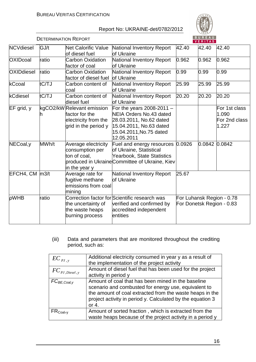

|                     | <b>DETERMINATION REPORT</b> |                                                                                              |                                                                                                                                                       |       | <b>BUREAU</b><br>VERITAS |                                                        |
|---------------------|-----------------------------|----------------------------------------------------------------------------------------------|-------------------------------------------------------------------------------------------------------------------------------------------------------|-------|--------------------------|--------------------------------------------------------|
| <b>NCVdiesel</b>    | GJ/t                        | <b>Net Calorific Value</b><br>of diesel fuel                                                 | National Inventory Report<br>of Ukraine                                                                                                               | 42.40 | 42.40                    | 42.40                                                  |
| <b>OXIDcoal</b>     | ratio                       | <b>Carbon Oxidation</b><br>factor of coal                                                    | National Inventory Report<br>of Ukraine                                                                                                               | 0.962 | 0.962                    | 0.962                                                  |
| <b>OXIDdiesel</b>   | ratio                       | <b>Carbon Oxidation</b><br>factor of diesel fuel                                             | National Inventory Report<br>of Ukraine                                                                                                               | 0.99  | 0.99                     | 0.99                                                   |
| kCcoal              | tC/TJ                       | Carbon content of<br>coal                                                                    | National Inventory Report<br>of Ukraine                                                                                                               | 25.99 | 25.99                    | 25.99                                                  |
| kCdiesel            | tC/TJ                       | Carbon content of<br>diesel fuel                                                             | National Inventory Report<br>lof Ukraine                                                                                                              | 20.20 | 20.20                    | 20.20                                                  |
| $EF$ grid, $y$      |                             | kgCO2/kW Relevant emission<br>factor for the<br>electricity from the<br>grid in the period y | For the years 2008-2011 $-$<br>NEIA Orders No.43 dated<br>28.03.2011, No.62 dated<br>15.04.2011, No.63 dated<br>15.04.2011, No.75 dated<br>12.05.2011 |       |                          | For 1st class<br>1.090<br>For 2nd class<br>1.227       |
| NECoal,y            | MWh/t                       | Average electricity<br>consumption per<br>ton of coal,<br>in the year y                      | Fuel and energy resources 0.0926<br>of Ukraine, Statistical<br>Yearbook, State Statistics<br>produced in Ukraine Committee of Ukraine, Kiev           |       | 0.0842                   | 0.0842                                                 |
| $EFCH4$ , CM $m3/t$ |                             | Average rate for<br>fugitive methane<br>lemissions from coal<br>mining                       | National Inventory Report<br>of Ukraine                                                                                                               | 25.67 |                          |                                                        |
| <b>pWHB</b>         | ratio                       | the uncertainty of<br>the waste heaps<br>burning process                                     | Correction factor for Scientific research was<br>verified and confirmed by<br>accredited independent<br>entities                                      |       |                          | For Luhansk Region - 0.78<br>For Donetsk Region - 0.83 |

(iii) Data and parameters that are monitored throughout the crediting period, such as:

| $EC_{pJ, y}$                           | Additional electricity consumed in year y as a result of<br>the implementation of the project activity                                                                                                                                          |
|----------------------------------------|-------------------------------------------------------------------------------------------------------------------------------------------------------------------------------------------------------------------------------------------------|
| $FC_{\textit{PI}.\textit{Diesel}\,,y}$ | Amount of diesel fuel that has been used for the project<br>activity in period y                                                                                                                                                                |
| $FC_{BE,Coal,v}$                       | Amount of coal that has been mined in the baseline<br>scenario and combusted for energy use, equivalent to<br>the amount of coal extracted from the waste heaps in the<br>project activity in period y. Calculated by the equation 3<br>or $4.$ |
| $FR_{\rm coal, y}$                     | Amount of sorted fraction, which is extracted from the<br>waste heaps because of the project activity in a period y                                                                                                                             |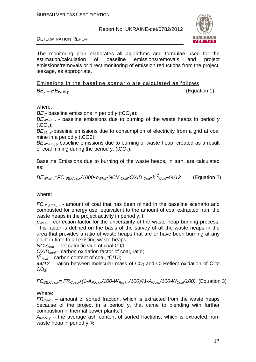

DETERMINATION REPORT

The monitoring plan elaborates all algorithms and formulae used for the estimation/calculation of baseline emissions/removals and project emissions/removals or direct monitoring of emission reductions from the project, leakage, as appropriate.

Emissions in the baseline scenario are calculated as follows:  $BE_v = BE_{WHB,v}$  (Equation 1)

where:

*BE<sub>ν</sub>*- baseline emissions in period *y* (tCO<sub>2</sub>e);

B*Е*<sup>W</sup>*НВ*, *у* - baseline emissions due to burning of the waste heaps in period y  $(tCO<sub>2</sub>)$ ;

 $BE_{FL,V}$ -baseline emissions due to consumption of electricity from a grid at coal mine in a period y,(tCO2);

 $BE<sub>WHBC</sub>$ , baseline emissions due to burning of waste heap, created as a result of coal mining during the period y,  $(tCO<sub>2</sub>)$ ;

Baseline Emissions due to burning of the waste heaps, in turn, are calculated as:

$$
BE_{\text{WHB,y}} = FC_{BE,Coal,y}/1000\cdot\rho_{\text{WHB}} \cdot NCV_{Coal} \cdot OXID_{Coal} \cdot k C_{Coal} \cdot 44/12
$$
 (Equation 2)

where:

 $FC_{BE,Coal, v}$  - amount of coal that has been mined in the baseline scenario and combusted for energy use, equivalent to the amount of coal extracted from the waste heaps in the project activity in period y, t;

 $ρ<sub>WHB</sub>$  - correction factor for the uncertainty of the waste heap burning process. This factor is defined on the basis of the survey of all the waste heaps in the area that provides a ratio of waste heaps that are or have been burning at any point in time to all existing waste heaps;

NCV*с*oal – net calorific vlue of coal,GJ/t;

OXID*с*oal – carbon oxidation factor of coal, ratio;

k C *<sup>с</sup>*oal – carbon content of coal, tС/TJ;

 $44/12$  – ration between molecular mass of CO<sub>2</sub> and C. Reflect oxidation of C to  $CO<sub>2</sub>$ ;

 $FC_{BE,Coal,v} = FR_{Coal,v}$  (1- $A_{Rock,v}/100-W_{Rock,v}/100)/(1-A_{Coal}/100-W_{Coal}/100)$  (Equation 3)

Where:

 $FR_{Coal,v}$  – amount of sorted fraction, which is extracted from the waste heaps because of the project in a period y, that came to blending with further combustion in thermal power plants, t;

 $A_{Rockv}$  – the average ash content of sorted fractions, which is extracted from waste heap in period y,%;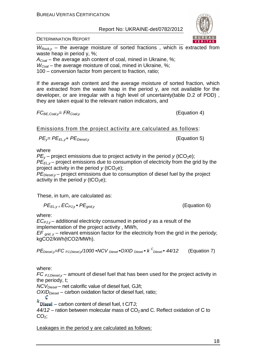

DETERMINATION REPORT

 $W_{Rock,v}$  – the average moisture of sorted fractions, which is extracted from waste heap in period y, %;

 $A_{\text{Coal}}$  – the average ash content of coal, mined in Ukraine, %;

 $W_{Coal}$  – the average moisture of coal, mined in Ukraine, %;

100 – conversion factor from percent to fraction, ratio;

If the average ash content and the average moisture of sorted fraction, which are extracted from the waste heap in the period y, are not available for the developer, or are irregular with a high level of uncertainty(table D.2 of PDD) , they are taken equal to the relevant nation indicators, and

 $FC_{BE, coal,v} = FR_{Coal,v}$  (Equation 4)

Emissions from the project activity are calculated as follows:

$$
PE_{y} = PE_{EL,y} + PE_{Diesel,y}
$$

**(Equation 5)** 

where

 $PE<sub>v</sub>$  – project emissions due to project activity in the period y (tCO<sub>2</sub>e);  $P\vec{E}_{Fly}$  – project emissions due to consumption of electricity from the grid by the project activity in the period  $y$  (tCO<sub>2</sub>e);

 $PE_{\text{Diesel,v}}$  – project emissions due to consumption of diesel fuel by the project activity in the period  $y$  (tCO<sub>2</sub>e);

These, in turn, are calculated as:

$$
PE_{EL,y} = EC_{PJ,y} \bullet PE_{grid,y}
$$

 $(Equation 6)$ 

where:

 $EC_{P,J,v}$  – additional electricity consumed in period y as a result of the implementation of the project activity , MWh,

 $EF_{\text{grid}}$   $_y$  – relevant emission factor for the electricity from the grid in the periody, kgCO2/kWh(tCO2/MWh).

$$
PEDiesel,y=FCPJ,Diesel,y/1000 \cdot NCVDiesel \cdot OXIDDiesel \cdot kCDiesel \cdot 44/12
$$
 (Equation 7)

where:

FC  $PJ, Diese, Y$  – amount of diesel fuel that has been used for the project activity in the periody, t;

 $NCV<sub>Diesel</sub>$  – net calorific value of diesel fuel, GJ/t;

 $OXID<sub>Diesel</sub>$  – carbon oxidation factor of diesel fuel, ratio;

C

 $k$  Diesel – carbon content of diesel fuel, t C/TJ;

 $44/12$  – ration between molecular mass of CO<sub>2</sub> and C. Reflect oxidation of C to  $CO<sub>2</sub>$ ;

Leakages in the period y are calculated as follows: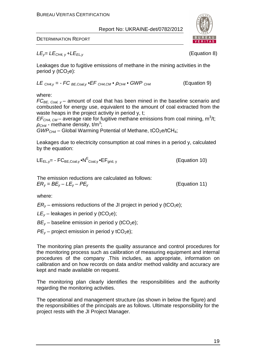

DETERMINATION REPORT

 $LE<sub>v</sub>=LE<sub>CH4. v</sub>+LE<sub>ELv</sub>$  (Equation 8)

Leakages due to fugitive emissions of methane in the mining activities in the period y  $(tCO<sub>2</sub>e)$ :

$$
LECH4,y = - FCBE,Coal,y • EFCH4,CM • QCH4 • GWPCH4
$$
 (Equation 9)

where:

 $FC_{BE, Coul, v}$  – amount of coal that has been mined in the baseline scenario and combusted for energy use, equivalent to the amount of coal extracted from the waste heaps in the project activity in period y, t;

 $EF<sub>CH4, CM</sub>$  – average rate for fugitive methane emissions from coal mining, m<sup>3</sup>/t;  $\rho_{CH4}$  - methane density, t/m<sup>3</sup>;

 $GWP<sub>CH4</sub>$  – Global Warming Potential of Methane, tCO<sub>2</sub>e/tCH<sub>4</sub>;

Leakages due to electricity consumption at coal mines in a period y, calculated by the equation:

$$
LE_{EL,y} = -FC_{BE,Coal,y} \cdot NP^E_{Coal,y} \cdot EF_{grid,y}
$$
 (Equation 10)

The emission reductions are calculated as follows:  $ER_v = BE_v - LE_v - PE_v$  (Equation 11)

where:

 $ER<sub>v</sub>$  – emissions reductions of the JI project in period y (tCO<sub>2</sub>e);

 $LE<sub>v</sub>$  – leakages in period y (tCO<sub>2</sub>e);

 $BE<sub>v</sub>$  – baseline emission in period y (tCO<sub>2</sub>e);

 $PE<sub>v</sub>$  – project emission in period y tCO<sub>2</sub>e);

The monitoring plan presents the quality assurance and control procedures for the monitoring process such as calibration of measuring equipment and internal procedures of the company .This includes, as appropriate, information on calibration and on how records on data and/or method validity and accuracy are kept and made available on request.

The monitoring plan clearly identifies the responsibilities and the authority regarding the monitoring activities.

The operational and management structure (as shown in below the figure) and the responsibilities of the principals are as follows. Ultimate responsibility for the project rests with the JI Project Manager.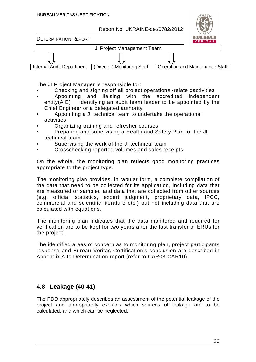

DETERMINATION REPORT



The JI Project Manager is responsible for:

- Checking and signing off all project operational-relate dactivities
- Appointing and liaising with the accredited independent entity(AIE) Identifying an audit team leader to be appointed by the Chief Engineer or a delegated authority
- Appointing a JI technical team to undertake the operational activities
- Organizing training and refresher courses
- Preparing and supervising a Health and Safety Plan for the JI technical team
- Supervising the work of the JI technical team
- Crosschecking reported volumes and sales receipts

On the whole, the monitoring plan reflects good monitoring practices appropriate to the project type.

The monitoring plan provides, in tabular form, a complete compilation of the data that need to be collected for its application, including data that are measured or sampled and data that are collected from other sources (e.g. official statistics, expert judgment, proprietary data, IPCC, commercial and scientific literature etc.) but not including data that are calculated with equations.

The monitoring plan indicates that the data monitored and required for verification are to be kept for two years after the last transfer of ERUs for the project.

The identified areas of concern as to monitoring plan, project participants response and Bureau Veritas Certification's conclusion are described in Appendix A to Determination report (refer to CAR08-CAR10).

#### **4.8 Leakage (40-41)**

The PDD appropriately describes an assessment of the potential leakage of the project and appropriately explains which sources of leakage are to be calculated, and which can be neglected: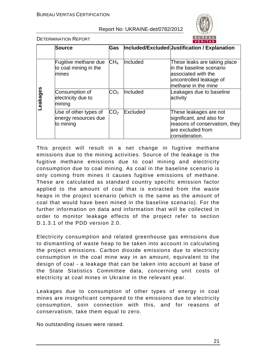

DETERMINATION REPORT

|          | <b>Source</b>                                              | <b>Gas</b>      |          | Included/Excluded Uustification / Explanation                                                                                     |
|----------|------------------------------------------------------------|-----------------|----------|-----------------------------------------------------------------------------------------------------------------------------------|
|          |                                                            | CH <sub>4</sub> | Included |                                                                                                                                   |
| eakages- | Fugitive methane due<br>to coal mining in the<br>mines     |                 |          | These leaks are taking place<br>in the baseline scenario<br>associated with the<br>uncontrolled leakage of<br>methane in the mine |
|          | Consumption of<br>electricity due to<br>mining             | CO <sub>2</sub> | Included | Leakages due to baseline<br>activity                                                                                              |
|          | Use of other types of<br>energy resources due<br>to mining | CO <sub>2</sub> | Excluded | These leakages are not<br>significant, and also for<br>reasons of conservatism, they<br>are excluded from<br>consideration.       |

This project will result in a net change in fugitive methane emissions due to the mining activities. Source of the leakage is the fugitive methane emissions due to coal mining and electricity consumption due to coal mining. As coal in the baseline scenario is only coming from mines it causes fugitive emissions of methane. These are calculated as standard country specific emission factor applied to the amount of coal that is extracted from the waste heaps in the project scenario (which is the same as the amount of coal that would have been mined in the baseline scenario). For the further information on data and information that will be collected in order to monitor leakage effects of the project refer to section D.1.3.1 of the PDD version 2.0.

Electricity consumption and related greenhouse gas emissions due to dismantling of waste heap to be taken into account in calculating the project emissions. Carbon dioxide emissions due to electricity consumption in the coal mine way in an amount, equivalent to the design of coal - a leakage that can be taken into account at base of the State Statistics Committee data, concerning unit costs of electricity at coal mines in Ukraine in the relevant year.

Leakages due to consumption of other types of energy in coal mines are insignificant compared to the emissions due to electricity consumption, soin connection with this, and for reasons of conservatism, take them equal to zero.

No outstanding issues were raised.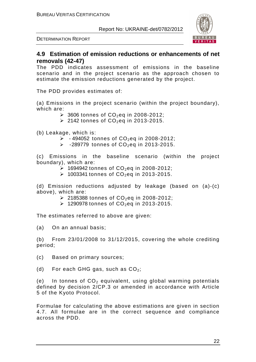

DETERMINATION REPORT

#### **4.9 Estimation of emission reductions or enhancements of net removals (42-47)**

The PDD indicates assessment of emissions in the baseline scenario and in the project scenario as the approach chosen to estimate the emission reductions generated by the project.

The PDD provides estimates of:

(a) Emissions in the project scenario (within the project boundary), which are:

- $\geq$  3606 tonnes of CO<sub>2</sub>eq in 2008-2012;
- $\geq$  2142 tonnes of CO<sub>2</sub>eq in 2013-2015.

(b) Leakage, which is:

- $\geq$  -494052 tonnes of CO<sub>2</sub>eq in 2008-2012;
- $\geq$  -289779 tonnes of CO<sub>2</sub>eq in 2013-2015.

(c) Emissions in the baseline scenario (within the project boundary), which are:

- $\geq$  1694942 tonnes of CO<sub>2</sub>eq in 2008-2012;
- $\geq$  1003341 tonnes of CO<sub>2</sub>eq in 2013-2015.

(d) Emission reductions adjusted by leakage (based on (a)-(c) above), which are:

- $\geq$  2185388 tonnes of CO<sub>2</sub>eq in 2008-2012;
- $\geq$  1290978 tonnes of CO<sub>2</sub>eq in 2013-2015.

The estimates referred to above are given:

(a) On an annual basis;

(b) From 23/01/2008 to 31/12/2015, covering the whole crediting period;

(c) Based on primary sources;

(d) For each GHG gas, such as  $CO<sub>2</sub>$ ;

(e) In tonnes of  $CO<sub>2</sub>$  equivalent, using global warming potentials defined by decision 2/CP.3 or amended in accordance with Article 5 of the Kyoto Protocol.

Formulae for calculating the above estimations are given in section 4.7. All formulae are in the correct sequence and compliance across the PDD.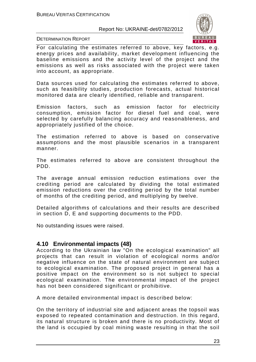

DETERMINATION REPORT

For calculating the estimates referred to above, key factors, e.g. energy prices and availability, market development influencing the baseline emissions and the activity level of the project and the emissions as well as risks associated with the project were taken into account, as appropriate.

Data sources used for calculating the estimates referred to above, such as feasibility studies, production forecasts, actual historical monitored data are clearly identified, reliable and transparent.

Emission factors, such as emission factor for electricity consumption, emission factor for diesel fuel and coal, were selected by carefully balancing accuracy and reasonableness, and appropriately justified of the choice.

The estimation referred to above is based on conservative assumptions and the most plausible scenarios in a transparent manner.

The estimates referred to above are consistent throughout the PDD.

The average annual emission reduction estimations over the crediting period are calculated by dividing the total estimated emission reductions over the crediting period by the total number of months of the crediting period, and multiplying by twelve.

Detailed algorithms of calculations and their results are described in section D, E and supporting documents to the PDD.

No outstanding issues were raised.

#### **4.10 Environmental impacts (48)**

According to the Ukrainian law "On the ecological examination" all projects that can result in violation of ecological norms and/or negative influence on the state of natural environment are subject to ecological examination. The proposed project in general has a positive impact on the environment so is not subject to special ecological examination. The environmental impact of the project has not been considered significant or prohibitive.

A more detailed environmental impact is described below:

On the territory of industrial site and adjacent areas the topsoil was exposed to repeated contamination and destruction. In this regard, its natural structure is broken and there is no productivity. Most of the land is occupied by coal mining waste resulting in that the soil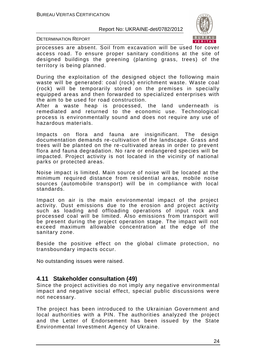

DETERMINATION REPORT

processes are absent. Soil from excavation will be used for cover access road. To ensure proper sanitary conditions at the site of designed buildings the greening (planting grass, trees) of the territory is being planned.

During the exploitation of the designed object the following main waste will be generated: coal (rock) enrichment waste. Waste coal (rock) will be temporarily stored on the premises in specially equipped areas and then forwarded to specialized enterprises with the aim to be used for road construction.

After a waste heap is processed, the land underneath is remediated and returned to the economic use. Technological process is environmentally sound and does not require any use of hazardous materials.

Impacts on flora and fauna are insignificant. The design documentation demands re-cultivation of the landscape. Grass and trees will be planted on the re-cultivated areas in order to prevent flora and fauna degradation. No rare or endangered species will be impacted. Project activity is not located in the vicinity of national parks or protected areas.

Noise impact is limited. Main source of noise will be located at the minimum required distance from residential areas, mobile noise sources (automobile transport) will be in compliance with local standards.

Impact on air is the main environmental impact of the project activity. Dust emissions due to the erosion and project activity such as loading and offloading operations of input rock and processed coal will be limited. Also emissions from transport will be present during the project operation stage. The impact will not exceed maximum allowable concentration at the edge of the sanitary zone.

Beside the positive effect on the global climate protection, no transboundary impacts occur.

No outstanding issues were raised.

#### **4.11 Stakeholder consultation (49)**

Since the project activities do not imply any negative environmental impact and negative social effect, special public discussions were not necessary.

The project has been introduced to the Ukrainian Government and local authorities with a PIN. The authorities analyzed the project and the Letter of Endorsement has been issued by the State Environmental Investment Agency of Ukraine.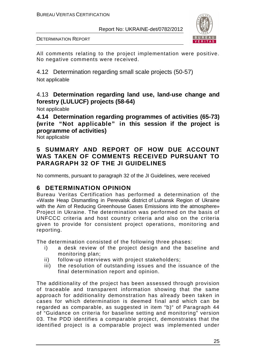

DETERMINATION REPORT

All comments relating to the project implementation were positive. No negative comments were received.

4.12 Determination regarding small scale projects (50-57) Not applicable

#### 4.13 **Determination regarding land use, land-use change and forestry (LULUCF) projects (58-64)**

Not applicable

**4.14 Determination regarding programmes of activities (65-73) (write "Not applicable" in this session if the project is programme of activities)** 

Not applicable

#### **5 SUMMARY AND REPORT OF HOW DUE ACCOUNT WAS TAKEN OF COMMENTS RECEIVED PURSUANT TO PARAGRAPH 32 OF THE JI GUIDELINES**

No comments, pursuant to paragraph 32 of the JI Guidelines, were received

#### **6 DETERMINATION OPINION**

Bureau Veritas Certification has performed a determination of the «Waste Heap Dismantling in Perevalsk district of Luhansk Region of Ukraine with the Aim of Reducing Greenhouse Gases Emissions into the atmosphere» Project in Ukraine. The determination was performed on the basis of UNFCCC criteria and host country criteria and also on the criteria given to provide for consistent project operations, monitoring and reporting.

The determination consisted of the following three phases:

- i) a desk review of the project design and the baseline and monitoring plan;
- ii) follow-up interviews with project stakeholders;
- iii) the resolution of outstanding issues and the issuance of the final determination report and opinion.

The additionality of the project has been assessed through provision of traceable and transparent information showing that the same approach for additionality demonstration has already been taken in cases for which determination is deemed final and which can be regarded as comparable, as suggested in item "b)" of Paragraph 44 of "Guidance on criteria for baseline setting and monitoring" version 03. The PDD identifies a comparable project, demonstrates that the identified project is a comparable project was implemented under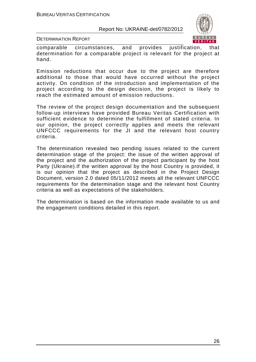

DETERMINATION REPORT

comparable circumstances, and provides justification, that determination for a comparable project is relevant for the project at hand.

Emission reductions that occur due to the project are therefore additional to those that would have occurred without the project activity. On condition of the introduction and implementation of the project according to the design decision, the project is likely to reach the estimated amount of emission reductions.

The review of the project design documentation and the subsequent follow-up interviews have provided Bureau Veritas Certification with sufficient evidence to determine the fulfillment of stated criteria. In our opinion, the project correctly applies and meets the relevant UNFCCC requirements for the JI and the relevant host country criteria.

The determination revealed two pending issues related to the current determination stage of the project: the issue of the written approval of the project and the authorization of the project participant by the host Party (Ukraine).If the written approval by the host Country is provided, it is our opinion that the project as described in the Project Design Document, version 2.0 dated 05/11/2012 meets all the relevant UNFCCC requirements for the determination stage and the relevant host Country criteria as well as expectations of the stakeholders.

The determination is based on the information made available to us and the engagement conditions detailed in this report.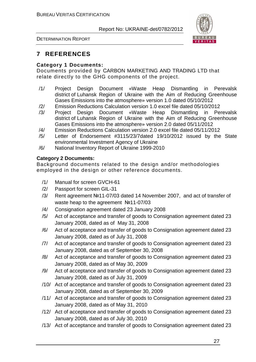

DETERMINATION REPORT

## **7 REFERENCES**

#### **Category 1 Documents:**

Documents provided by СARBON MARKETING AND TRADING LTD that relate directly to the GHG components of the project.

- /1/ Project Design Document «Waste Heap Dismantling in Perevalsk district of Luhansk Region of Ukraine with the Aim of Reducing Greenhouse Gases Emissions into the atmosphere» version 1.0 dated 05/10/2012
- /2/ Emission Reductions Calculation version 1.0 excel file dated 05/10/2012
- /3/ Project Design Document «Waste Heap Dismantling in Perevalsk district of Luhansk Region of Ukraine with the Aim of Reducing Greenhouse Gases Emissions into the atmosphere» version 2.0 dated 05/11/2012
- /4/ Emission Reductions Calculation version 2.0 excel file dated 05/11/2012
- /5/ Letter of Endorsement #3115/23/7dated 19/10/2012 issued by the State environmental Investment Agency of Ukraine
- /6/ National Inventory Report of Ukraine 1999-2010

#### **Category 2 Documents:**

Background documents related to the design and/or methodologies employed in the design or other reference documents.

- /1/ Manual for screen GVCH-61
- /2/ Passport for screen GIL-31
- /3/ Rent agreement №11-07/03 dated 14 November 2007, and act of transfer of waste heap to the agreement №11-07/03
- /4/ Consignation agreement dated 23 January 2008
- /5/ Act of acceptance and transfer of goods to Consignation agreement dated 23 January 2008, dated as of May 31, 2008
- /6/ Act of acceptance and transfer of goods to Consignation agreement dated 23 January 2008, dated as of July 31, 2008
- /7/ Act of acceptance and transfer of goods to Consignation agreement dated 23 January 2008, dated as of September 30, 2008
- /8/ Act of acceptance and transfer of goods to Consignation agreement dated 23 January 2008, dated as of May 30, 2009
- /9/ Act of acceptance and transfer of goods to Consignation agreement dated 23 January 2008, dated as of July 31, 2009
- /10/ Act of acceptance and transfer of goods to Consignation agreement dated 23 January 2008, dated as of September 30, 2009
- /11/ Act of acceptance and transfer of goods to Consignation agreement dated 23 January 2008, dated as of May 31, 2010
- /12/ Act of acceptance and transfer of goods to Consignation agreement dated 23 January 2008, dated as of July 30, 2010
- /13/ Act of acceptance and transfer of goods to Consignation agreement dated 23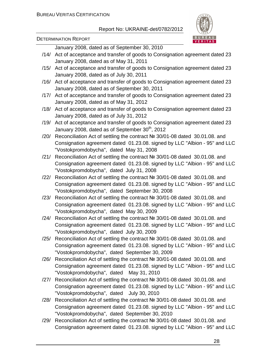

#### DETERMINATION REPORT

January 2008, dated as of September 30, 2010

- /14/ Act of acceptance and transfer of goods to Consignation agreement dated 23 January 2008, dated as of May 31, 2011
- /15/ Act of acceptance and transfer of goods to Consignation agreement dated 23 January 2008, dated as of July 30, 2011
- /16/ Act of acceptance and transfer of goods to Consignation agreement dated 23 January 2008, dated as of September 30, 2011
- /17/ Act of acceptance and transfer of goods to Consignation agreement dated 23 January 2008, dated as of May 31, 2012
- /18/ Act of acceptance and transfer of goods to Consignation agreement dated 23 January 2008, dated as of July 31, 2012
- /19/ Act of acceptance and transfer of goods to Consignation agreement dated 23 January 2008, dated as of September  $30<sup>th</sup>$ , 2012
- /20/ Reconciliation Act of settling the contract № 30/01-08 dated 30.01.08. and Consignation agreement dated 01.23.08. signed by LLC "Albion - 95" and LLC "Vostokpromdobycha", dated May 31, 2008
- /21/ Reconciliation Act of settling the contract № 30/01-08 dated 30.01.08. and Consignation agreement dated 01.23.08. signed by LLC "Albion - 95" and LLC "Vostokpromdobycha", dated July 31, 2008
- /22/ Reconciliation Act of settling the contract № 30/01-08 dated 30.01.08. and Consignation agreement dated 01.23.08. signed by LLC "Albion - 95" and LLC "Vostokpromdobycha", dated September 30, 2008
- /23/ Reconciliation Act of settling the contract № 30/01-08 dated 30.01.08. and Consignation agreement dated 01.23.08. signed by LLC "Albion - 95" and LLC "Vostokpromdobycha", dated May 30, 2009
- /24/ Reconciliation Act of settling the contract № 30/01-08 dated 30.01.08. and Consignation agreement dated 01.23.08. signed by LLC "Albion - 95" and LLC "Vostokpromdobycha", dated July 30, 2009
- /25/ Reconciliation Act of settling the contract № 30/01-08 dated 30.01.08. and Consignation agreement dated 01.23.08. signed by LLC "Albion - 95" and LLC "Vostokpromdobycha", dated September 30, 2009
- /26/ Reconciliation Act of settling the contract № 30/01-08 dated 30.01.08. and Consignation agreement dated 01.23.08. signed by LLC "Albion - 95" and LLC "Vostokpromdobycha", dated May 31, 2010
- /27/ Reconciliation Act of settling the contract № 30/01-08 dated 30.01.08. and Consignation agreement dated 01.23.08. signed by LLC "Albion - 95" and LLC "Vostokpromdobycha", dated July 30, 2010
- /28/ Reconciliation Act of settling the contract № 30/01-08 dated 30.01.08. and Consignation agreement dated 01.23.08. signed by LLC "Albion - 95" and LLC "Vostokpromdobycha", dated September 30, 2010
- /29/ Reconciliation Act of settling the contract № 30/01-08 dated 30.01.08. and Consignation agreement dated 01.23.08. signed by LLC "Albion - 95" and LLC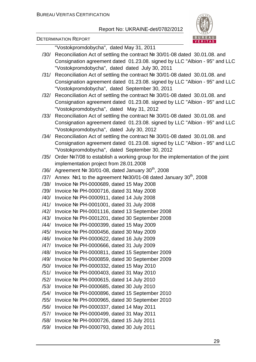

DETERMINATION REPORT

"Vostokpromdobycha", dated May 31, 2011

- /30/ Reconciliation Act of settling the contract № 30/01-08 dated 30.01.08. and Consignation agreement dated 01.23.08. signed by LLC "Albion - 95" and LLC "Vostokpromdobycha", dated dated July 30, 2011
- /31/ Reconciliation Act of settling the contract № 30/01-08 dated 30.01.08. and Consignation agreement dated 01.23.08. signed by LLC "Albion - 95" and LLC "Vostokpromdobycha", dated September 30, 2011
- /32/ Reconciliation Act of settling the contract № 30/01-08 dated 30.01.08. and Consignation agreement dated 01.23.08. signed by LLC "Albion - 95" and LLC "Vostokpromdobycha", dated May 31, 2012
- /33/ Reconciliation Act of settling the contract № 30/01-08 dated 30.01.08. and Consignation agreement dated 01.23.08. signed by LLC "Albion - 95" and LLC "Vostokpromdobycha", dated July 30, 2012
- /34/ Reconciliation Act of settling the contract № 30/01-08 dated 30.01.08. and Consignation agreement dated 01.23.08. signed by LLC "Albion - 95" and LLC "Vostokpromdobycha", dated September 30, 2012
- /35/ Order №7/08 to establish a working group for the implementation of the joint implementation project from 28.01.2008
- /36/ Agreement № 30/01-08, dated January  $30<sup>th</sup>$ , 2008
- /37/ Annex  $N$ <sup>o</sup> 1 to the agreement  $N$ <sup>o</sup> 30/01-08 dated January 30<sup>th</sup>, 2008
- /38/ Invoice № РН-0000689, dated 15 May 2008
- /39/ Invoice № РН-0000716, dated 31 May 2008
- /40/ Invoice № РН-0000911, dated 14 July 2008
- /41/ Invoice № РН-0001001, dated 31 July 2008
- /42/ Invoice № РН-0001116, dated 13 September 2008
- /43/ Invoice № РН-0001201, dated 30 September 2008
- /44/ Invoice № РН-0000399, dated 15 May 2009
- /45/ Invoice № РН-0000456, dated 30 May 2009
- /46/ Invoice № РН-0000622, dated 16 July 2009
- /47/ Invoice № РН-0000666, dated 31 July 2009
- /48/ Invoice № РН-0000811, dated 15 September 2009
- /49/ Invoice № РН-0000859, dated 30 September 2009
- /50/ Invoice № РН-0000332, dated 15 May 2010
- /51/ Invoice № РН-0000403, dated 31 May 2010
- /52/ Invoice № РН-0000615, dated 14 July 2010
- /53/ Invoice № РН-0000685, dated 30 July 2010
- /54/ Invoice № РН-0000896, dated 15 September 2010
- /55/ Invoice № РН-0000965, dated 30 September 2010
- /56/ Invoice № РН-0000337, dated 14 May 2011
- /57/ Invoice № РН-0000499, dated 31 May 2011
- /58/ Invoice № РН-0000726, dated 15 July 2011
- /59/ Invoice № РН-0000793, dated 30 July 2011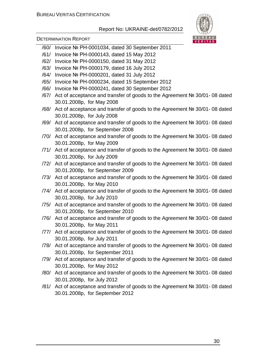

DETERMINATION REPORT

- /60/ Invoice № РН-0001034, dated 30 September 2011
- /61/ Invoice № РН-0000143, dated 15 May 2012
- /62/ Invoice № РН-0000150, dated 31 May 2012
- /63/ Invoice № РН-0000179, dated 16 July 2012
- /64/ Invoice № РН-0000201, dated 31 July 2012
- /65/ Invoice № РН-0000234, dated 15 September 2012
- /66/ Invoice № РН-0000241, dated 30 September 2012
- /67/ Act of acceptance and transfer of goods to the Agreement № 30/01- 08 dated 30.01.2008р, for May 2008
- /68/ Act of acceptance and transfer of goods to the Agreement № 30/01- 08 dated 30.01.2008р, for July 2008
- /69/ Act of acceptance and transfer of goods to the Agreement № 30/01- 08 dated 30.01.2008р, for September 2008
- /70/ Act of acceptance and transfer of goods to the Agreement № 30/01- 08 dated 30.01.2008р, for May 2009
- /71/ Act of acceptance and transfer of goods to the Agreement № 30/01- 08 dated 30.01.2008р, for July 2009
- /72/ Act of acceptance and transfer of goods to the Agreement № 30/01- 08 dated 30.01.2008р, for September 2009
- /73/ Act of acceptance and transfer of goods to the Agreement № 30/01- 08 dated 30.01.2008р, for May 2010
- /74/ Act of acceptance and transfer of goods to the Agreement № 30/01- 08 dated 30.01.2008р, for July 2010
- /75/ Act of acceptance and transfer of goods to the Agreement № 30/01- 08 dated 30.01.2008р, for September 2010
- /76/ Act of acceptance and transfer of goods to the Agreement № 30/01- 08 dated 30.01.2008р, for May 2011
- /77/ Act of acceptance and transfer of goods to the Agreement № 30/01- 08 dated 30.01.2008р, for July 2011
- /78/ Act of acceptance and transfer of goods to the Agreement № 30/01- 08 dated 30.01.2008р, for September 2011
- /79/ Act of acceptance and transfer of goods to the Agreement № 30/01- 08 dated 30.01.2008р, for May 2012
- /80/ Act of acceptance and transfer of goods to the Agreement № 30/01- 08 dated 30.01.2008р, for July 2012
- /81/ Act of acceptance and transfer of goods to the Agreement № 30/01- 08 dated 30.01.2008р, for September 2012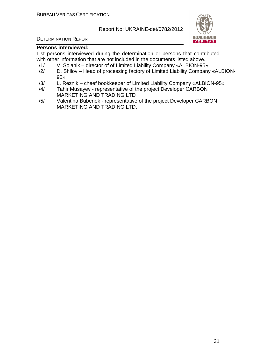

#### DETERMINATION REPORT

#### **Persons interviewed:**

List persons interviewed during the determination or persons that contributed with other information that are not included in the documents listed above.

- /1/ V. Solanik director of of Limited Liability Company «ALBION-95»
- /2/ D. Shilov Head of processing factory of Limited Liability Company «ALBION-95»
- /3/ L. Reznik cheef bookkeeper of Limited Liability Company «ALBION-95»
- /4/ Tahir Musayev representative of the project Developer СARBON MARKETING AND TRADING LTD
- /5/ Valentina Bubenok representative of the project Developer СARBON MARKETING AND TRADING LTD.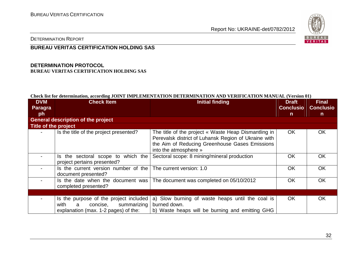

DETERMINATION REPORT

#### **BUREAU VERITAS CERTIFICATION HOLDING SAS**

#### **DETERMINATION PROTOCOL BUREAU VERITAS CERTIFICATION HOLDING SAS**

#### **Check list for determination, according JOINT IMPLEMENTATION DETERMINATION AND VERIFICATION MANUAL (Version 01)**

| <b>DVM</b>                                | <b>Check Item</b>                                                                                                      | <b>Initial finding</b>                                                                                                                                                                  | <b>Draft</b>     | <b>Final</b>     |  |  |
|-------------------------------------------|------------------------------------------------------------------------------------------------------------------------|-----------------------------------------------------------------------------------------------------------------------------------------------------------------------------------------|------------------|------------------|--|--|
| Paragra                                   |                                                                                                                        |                                                                                                                                                                                         | <b>Conclusio</b> | <b>Conclusio</b> |  |  |
| ph                                        |                                                                                                                        |                                                                                                                                                                                         | $\mathsf{n}$     | $\mathsf{n}$     |  |  |
| <b>General description of the project</b> |                                                                                                                        |                                                                                                                                                                                         |                  |                  |  |  |
| Title of the project                      |                                                                                                                        |                                                                                                                                                                                         |                  |                  |  |  |
|                                           | Is the title of the project presented?                                                                                 | The title of the project « Waste Heap Dismantling in<br>Perevalsk district of Luhansk Region of Ukraine with<br>the Aim of Reducing Greenhouse Gases Emissions<br>into the atmosphere » | OK.              | <b>OK</b>        |  |  |
|                                           | Is the sectoral scope to which the<br>project pertains presented?                                                      | Sectoral scope: 8 mining/mineral production                                                                                                                                             | OK               | <b>OK</b>        |  |  |
|                                           | Is the current version number of the $\vert$ The current version: 1.0<br>document presented?                           |                                                                                                                                                                                         | OK               | <b>OK</b>        |  |  |
|                                           | Is the date when the document was<br>completed presented?                                                              | The document was completed on 05/10/2012                                                                                                                                                | OK               | <b>OK</b>        |  |  |
|                                           |                                                                                                                        |                                                                                                                                                                                         |                  |                  |  |  |
|                                           | Is the purpose of the project included<br>with<br>concise,<br>summarizing<br>a<br>explanation (max. 1-2 pages) of the: | a) Slow burning of waste heaps until the coal is<br>burned down.<br>b) Waste heaps will be burning and emitting GHG                                                                     | OK.              | <b>OK</b>        |  |  |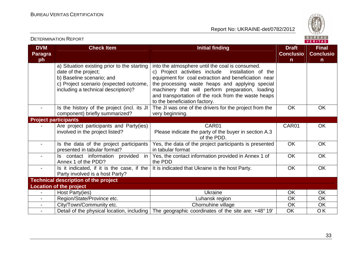DETERMINATION REPORT

Report No: UKRAINE-det/0782/2012



**VERITAS** 

#### **DVM Paragraph Check Item Draft Check Item Initial finding Check Item Draft Check Item Initial finding Check Item Initial finding ConclusionFinal Conclusion** a) Situation existing prior to the starting date of the project; b) Baseline scenario; and c) Project scenario (expected outcome, including a technical description)? into the atmosphere until the coal is consumed. installation of the c) Project activities include equipment for coal extraction and beneficiation near the processing waste heaps and applying special machinery that will perform preparation, loading and transportation of the rock from the waste heapsto the beneficiation factory. The JI was one of the drivers for the project from the Is the history of the project (incl. its JI component) briefly summarized? very beginning. OK OK **Project participants** - Are project participants and Party(ies) involved in the project listed? CAR01 Please indicate the party of the buyer in section A.3 of the PDD. Yes, the data of the project participants is presented CAR01 OK - Is the data of the project participants presented in tabular format? - **Is contact information provided in** in tabular format Yes, the contact information provided in Annex 1 ofOK OK Annex 1 of the PDD? - Is it indicated, if it is the case, if the the PDD It is indicated that Ukraine is the host Party. The Nok COK COK OK OK Party involved is a host Party? **Technical description of the project Location of the project** - | Host Party(ies) | Ukraine | OK | OK **OK** - Region/State/Province etc. And I am Luhansk region CK  $\overline{OK}$ City/Town/Community etc. <br>
Chornuhine village and Constantine village and OK <u>OK</u> - Detail of the physical location, including The geographic coordinates of the site are: +48° 19' OK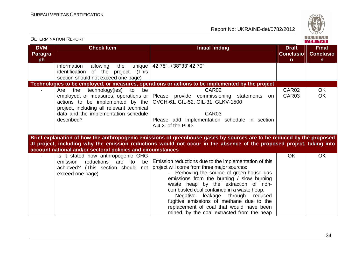

| <b>DETERMINATION REPORT</b>        |                                                                                                                                        |                                                                                                                                                                                                                                                                                                                                                                                                                                                               | BUREAU<br><b>VERITAS</b>               |                                                  |
|------------------------------------|----------------------------------------------------------------------------------------------------------------------------------------|---------------------------------------------------------------------------------------------------------------------------------------------------------------------------------------------------------------------------------------------------------------------------------------------------------------------------------------------------------------------------------------------------------------------------------------------------------------|----------------------------------------|--------------------------------------------------|
| <b>DVM</b><br><b>Paragra</b><br>ph | <b>Check Item</b>                                                                                                                      | <b>Initial finding</b>                                                                                                                                                                                                                                                                                                                                                                                                                                        | <b>Draft</b><br><b>Conclusio</b><br>n. | <b>Final</b><br><b>Conclusio</b><br>$\mathsf{n}$ |
|                                    | information<br>allowing<br>the<br>unique  <br>identification of the project. (This<br>section should not exceed one page)              | 42.78", +38°33' 42.70"                                                                                                                                                                                                                                                                                                                                                                                                                                        |                                        |                                                  |
|                                    |                                                                                                                                        | Technologies to be employed, or measures, operations or actions to be implemented by the project                                                                                                                                                                                                                                                                                                                                                              |                                        |                                                  |
|                                    | Are the technology(ies)<br>to<br>be<br>actions to be implemented by the<br>project, including all relevant technical                   | CAR <sub>02</sub><br>employed, or measures, operations or Please provide commissioning statements<br>on<br>GVCH-61, GIL-52, GIL-31, GLKV-1500                                                                                                                                                                                                                                                                                                                 | CAR02<br>CAR <sub>03</sub>             | OK.<br><b>OK</b>                                 |
|                                    | data and the implementation schedule<br>described?                                                                                     | CAR <sub>03</sub><br>Please add implementation schedule in section<br>A.4.2. of the PDD.                                                                                                                                                                                                                                                                                                                                                                      |                                        |                                                  |
|                                    | account national and/or sectoral policies and circumstances                                                                            | Brief explanation of how the anthropogenic emissions of greenhouse gases by sources are to be reduced by the proposed<br>JI project, including why the emission reductions would not occur in the absence of the proposed project, taking into                                                                                                                                                                                                                |                                        |                                                  |
|                                    | Is it stated how anthropogenic GHG<br>reductions<br>emission<br>are to<br>be<br>achieved? (This section should not<br>exceed one page) | Emission reductions due to the implementation of this<br>project will come from three major sources:<br>Removing the source of green-house gas<br>emissions from the burning / slow burning<br>waste heap by the extraction of non-<br>combusted coal contained in a waste heap;<br>Negative leakage through<br>reduced<br>fugitive emissions of methane due to the<br>replacement of coal that would have been<br>mined, by the coal extracted from the heap | <b>OK</b>                              | <b>OK</b>                                        |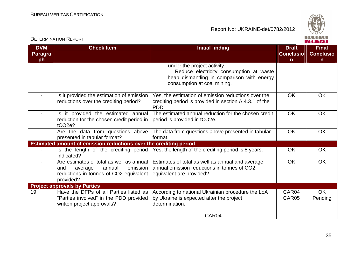

| <b>DVM</b><br>Paragra<br>ph | <b>Check Item</b>                                                                                                                       | <b>Initial finding</b>                                                                                                                              | <b>Draft</b><br><b>Conclusio</b><br>$\mathsf{n}$ | <b>Final</b><br><b>Conclusio</b><br>n |
|-----------------------------|-----------------------------------------------------------------------------------------------------------------------------------------|-----------------------------------------------------------------------------------------------------------------------------------------------------|--------------------------------------------------|---------------------------------------|
|                             |                                                                                                                                         | under the project activity.<br>Reduce electricity consumption at waste<br>heap dismantling in comparison with energy<br>consumption at coal mining. |                                                  |                                       |
|                             | Is it provided the estimation of emission<br>reductions over the crediting period?                                                      | Yes, the estimation of emission reductions over the<br>crediting period is provided in section A.4.3.1 of the<br>PDD.                               | <b>OK</b>                                        | <b>OK</b>                             |
|                             | Is it provided the estimated annual<br>reduction for the chosen credit period in<br>tCO <sub>2e</sub> ?                                 | The estimated annual reduction for the chosen credit<br>period is provided in tCO2e.                                                                | <b>OK</b>                                        | <b>OK</b>                             |
|                             | Are the data from questions above<br>presented in tabular format?                                                                       | The data from questions above presented in tabular<br>format.                                                                                       | <b>OK</b>                                        | <b>OK</b>                             |
|                             | Estimated amount of emission reductions over the crediting period                                                                       |                                                                                                                                                     |                                                  |                                       |
|                             | Indicated?                                                                                                                              | Is the length of the crediting period   Yes, the length of the crediting period is 8 years.                                                         | <b>OK</b>                                        | <b>OK</b>                             |
|                             | Are estimates of total as well as annual<br>emission<br>annual<br>and<br>average<br>reductions in tonnes of CO2 equivalent<br>provided? | Estimates of total as well as annual and average<br>annual emission reductions in tonnes of CO2<br>equivalent are provided?                         | <b>OK</b>                                        | <b>OK</b>                             |
|                             | <b>Project approvals by Parties</b>                                                                                                     |                                                                                                                                                     |                                                  |                                       |
| 19                          | Have the DFPs of all Parties listed as<br>"Parties involved" in the PDD provided<br>written project approvals?                          | According to national Ukrainian procedure the LoA<br>by Ukraine is expected after the project<br>determination.                                     | CAR04<br>CAR <sub>05</sub>                       | <b>OK</b><br>Pending                  |
|                             |                                                                                                                                         | CAR04                                                                                                                                               |                                                  |                                       |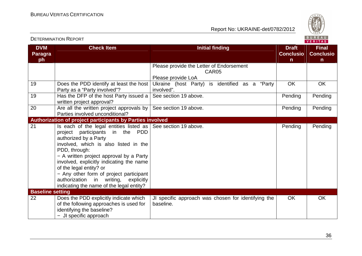DETERMINATION REPORT



| <b>DVM</b><br>Paragra<br>ph | <b>Check Item</b>                                                                                                                                                                                                                                                                                                                                                                                                                               | <b>Initial finding</b>                                                             | <b>Draft</b><br><b>Conclusio</b><br>$\mathsf{n}$ | <b>Final</b><br><b>Conclusio</b><br>$\mathsf{n}$ |
|-----------------------------|-------------------------------------------------------------------------------------------------------------------------------------------------------------------------------------------------------------------------------------------------------------------------------------------------------------------------------------------------------------------------------------------------------------------------------------------------|------------------------------------------------------------------------------------|--------------------------------------------------|--------------------------------------------------|
|                             |                                                                                                                                                                                                                                                                                                                                                                                                                                                 | Please provide the Letter of Endorsement<br>CAR05                                  |                                                  |                                                  |
| 19                          | Does the PDD identify at least the host<br>Party as a "Party involved"?                                                                                                                                                                                                                                                                                                                                                                         | Please provide LoA<br>Ukraine (host Party) is identified as a "Party<br>involved". | <b>OK</b>                                        | <b>OK</b>                                        |
| 19                          | Has the DFP of the host Party issued a<br>written project approval?                                                                                                                                                                                                                                                                                                                                                                             | See section 19 above.                                                              | Pending                                          | Pending                                          |
| 20                          | Are all the written project approvals by<br>Parties involved unconditional?                                                                                                                                                                                                                                                                                                                                                                     | See section 19 above.                                                              | Pending                                          | Pending                                          |
|                             | Authorization of project participants by Parties involved                                                                                                                                                                                                                                                                                                                                                                                       |                                                                                    |                                                  |                                                  |
| 21                          | Is each of the legal entities listed as $\vert$ See section 19 above.<br>project participants in the PDD<br>authorized by a Party<br>involved, which is also listed in the<br>PDD, through:<br>- A written project approval by a Party<br>involved, explicitly indicating the name<br>of the legal entity? or<br>- Any other form of project participant<br>authorization in writing,<br>explicitly<br>indicating the name of the legal entity? |                                                                                    | Pending                                          | Pending                                          |
| <b>Baseline setting</b>     |                                                                                                                                                                                                                                                                                                                                                                                                                                                 |                                                                                    |                                                  |                                                  |
| 22                          | Does the PDD explicitly indicate which<br>of the following approaches is used for<br>identifying the baseline?<br>- JI specific approach                                                                                                                                                                                                                                                                                                        | JI specific approach was chosen for identifying the<br>baseline.                   | OK.                                              | <b>OK</b>                                        |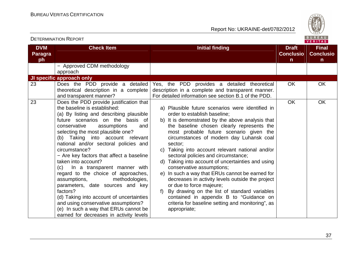

|                             | <b>DETERMINATION REPORT</b>                                                                                                                                                                                                                                                                                                                                                                                                                                                                                                                                                                                                                                                                                                               |                                                                                                                                                                                                                                                                                                                                                                                                                                                                                                                                                                                                                                                                                                                                                                                 |                                       | BUREAU<br><b>VERITAS</b>              |
|-----------------------------|-------------------------------------------------------------------------------------------------------------------------------------------------------------------------------------------------------------------------------------------------------------------------------------------------------------------------------------------------------------------------------------------------------------------------------------------------------------------------------------------------------------------------------------------------------------------------------------------------------------------------------------------------------------------------------------------------------------------------------------------|---------------------------------------------------------------------------------------------------------------------------------------------------------------------------------------------------------------------------------------------------------------------------------------------------------------------------------------------------------------------------------------------------------------------------------------------------------------------------------------------------------------------------------------------------------------------------------------------------------------------------------------------------------------------------------------------------------------------------------------------------------------------------------|---------------------------------------|---------------------------------------|
| <b>DVM</b><br>Paragra<br>ph | <b>Check Item</b>                                                                                                                                                                                                                                                                                                                                                                                                                                                                                                                                                                                                                                                                                                                         | <b>Initial finding</b>                                                                                                                                                                                                                                                                                                                                                                                                                                                                                                                                                                                                                                                                                                                                                          | <b>Draft</b><br><b>Conclusio</b><br>n | <b>Final</b><br><b>Conclusio</b><br>n |
|                             | - Approved CDM methodology<br>approach                                                                                                                                                                                                                                                                                                                                                                                                                                                                                                                                                                                                                                                                                                    |                                                                                                                                                                                                                                                                                                                                                                                                                                                                                                                                                                                                                                                                                                                                                                                 |                                       |                                       |
|                             | JI specific approach only                                                                                                                                                                                                                                                                                                                                                                                                                                                                                                                                                                                                                                                                                                                 |                                                                                                                                                                                                                                                                                                                                                                                                                                                                                                                                                                                                                                                                                                                                                                                 |                                       |                                       |
| 23                          | Does the PDD provide a detailed<br>theoretical description in a complete<br>and transparent manner?                                                                                                                                                                                                                                                                                                                                                                                                                                                                                                                                                                                                                                       | Yes, the PDD provides a detailed theoretical<br>description in a complete and transparent manner.<br>For detailed information see section B.1 of the PDD.                                                                                                                                                                                                                                                                                                                                                                                                                                                                                                                                                                                                                       | <b>OK</b>                             | OK                                    |
| 23                          | Does the PDD provide justification that<br>the baseline is established:<br>(a) By listing and describing plausible<br>future scenarios on the basis of<br>conservative<br>assumptions<br>and<br>selecting the most plausible one?<br>(b) Taking into account relevant<br>national and/or sectoral policies and<br>circumstance?<br>- Are key factors that affect a baseline<br>taken into account?<br>In a transparent manner with<br>(C)<br>regard to the choice of approaches,<br>methodologies,<br>assumptions,<br>parameters, date sources and key<br>factors?<br>(d) Taking into account of uncertainties<br>and using conservative assumptions?<br>(e) In such a way that ERUs cannot be<br>earned for decreases in activity levels | a) Plausible future scenarios were identified in<br>order to establish baseline;<br>b) It is demonstrated by the above analysis that<br>the baseline chosen clearly represents the<br>most probable future scenario given the<br>circumstances of modern day Luhansk coal<br>sector:<br>Taking into account relevant national and/or<br>C)<br>sectoral policies and circumstance;<br>d) Taking into account of uncertainties and using<br>conservative assumptions;<br>In such a way that ERUs cannot be earned for<br>e)<br>decreases in activity levels outside the project<br>or due to force majeure;<br>By drawing on the list of standard variables<br>f)<br>contained in appendix B to "Guidance on<br>criteria for baseline setting and monitoring", as<br>appropriate; | <b>OK</b>                             | OK                                    |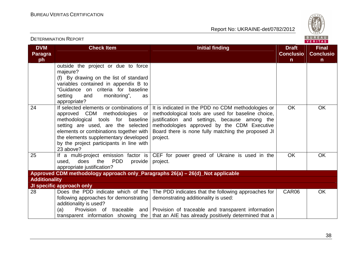

|                       |                                                                                                                                                                                                                                                                                                |                                                                                                                                                                                                                                                                            |                                  | VERIIAS.                         |
|-----------------------|------------------------------------------------------------------------------------------------------------------------------------------------------------------------------------------------------------------------------------------------------------------------------------------------|----------------------------------------------------------------------------------------------------------------------------------------------------------------------------------------------------------------------------------------------------------------------------|----------------------------------|----------------------------------|
| <b>DVM</b><br>Paragra | <b>Check Item</b>                                                                                                                                                                                                                                                                              | <b>Initial finding</b>                                                                                                                                                                                                                                                     | <b>Draft</b><br><b>Conclusio</b> | <b>Final</b><br><b>Conclusio</b> |
| ph                    |                                                                                                                                                                                                                                                                                                |                                                                                                                                                                                                                                                                            | $\mathsf{n}$                     | $\mathsf{n}$                     |
|                       | outside the project or due to force<br>majeure?<br>(f) By drawing on the list of standard<br>variables contained in appendix B to<br>"Guidance on criteria for baseline<br>setting<br>monitoring",<br>and<br>as<br>appropriate?                                                                |                                                                                                                                                                                                                                                                            |                                  |                                  |
| 24                    | If selected elements or combinations of<br>approved CDM methodologies or<br>methodological tools for baseline<br>setting are used, are the selected<br>elements or combinations together with<br>the elements supplementary developed<br>by the project participants in line with<br>23 above? | It is indicated in the PDD no CDM methodologies or<br>methodological tools are used for baseline choice,<br>justification and settings, because among the<br>methodologies approved by the CDM Executive<br>Board there is none fully matching the proposed JI<br>project. | <b>OK</b>                        | <b>OK</b>                        |
| 25                    | If a multi-project emission factor is<br>the PDD<br>used,<br>does<br>provide<br>appropriate justification?                                                                                                                                                                                     | CEF for power greed of Ukraine is used in the<br>project.                                                                                                                                                                                                                  | <b>OK</b>                        | <b>OK</b>                        |
|                       | Approved CDM methodology approach only_Paragraphs 26(a) - 26(d)_Not applicable                                                                                                                                                                                                                 |                                                                                                                                                                                                                                                                            |                                  |                                  |
| <b>Additionality</b>  |                                                                                                                                                                                                                                                                                                |                                                                                                                                                                                                                                                                            |                                  |                                  |
|                       | JI specific approach only                                                                                                                                                                                                                                                                      |                                                                                                                                                                                                                                                                            |                                  |                                  |
| 28                    | Does the PDD indicate which of the<br>following approaches for demonstrating<br>additionality is used?<br>Provision of<br>traceable<br>(a)<br>and                                                                                                                                              | The PDD indicates that the following approaches for  <br>demonstrating additionality is used:<br>Provision of traceable and transparent information<br>transparent information showing the   that an AIE has already positively determined that a                          | CAR06                            | OK.                              |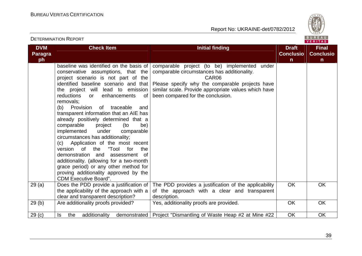DETERMINATION REPORT



| <b>DVM</b><br><b>Paragra</b><br>ph | <b>Check Item</b>                                                                                                                                                                                                                                                                                                                                                                                                                                                                                                                                                                                                                                                                                                                                                                                 | <b>Initial finding</b>                                                                                                                                                                                                                                  | <b>Draft</b><br><b>Conclusio</b><br>$\mathsf{n}$ | <b>Final</b><br><b>Conclusio</b><br>n. |
|------------------------------------|---------------------------------------------------------------------------------------------------------------------------------------------------------------------------------------------------------------------------------------------------------------------------------------------------------------------------------------------------------------------------------------------------------------------------------------------------------------------------------------------------------------------------------------------------------------------------------------------------------------------------------------------------------------------------------------------------------------------------------------------------------------------------------------------------|---------------------------------------------------------------------------------------------------------------------------------------------------------------------------------------------------------------------------------------------------------|--------------------------------------------------|----------------------------------------|
|                                    | baseline was identified on the basis of<br>conservative assumptions, that the<br>project scenario is not part of the<br>identified baseline scenario and that<br>the project will lead to emission<br>reductions<br>enhancements<br>0f<br>or<br>removals:<br>(b) Provision<br>of traceable<br>and<br>transparent information that an AIE has<br>already positively determined that a<br>comparable<br>project<br>(to<br>be)<br>implemented<br>under<br>comparable<br>circumstances has additionality;<br>(c) Application of the most recent<br>"Tool<br>of<br>the<br>version<br>for<br>the<br>demonstration and<br>of<br>assessment<br>additionality. (allowing for a two-month<br>grace period) or any other method for<br>proving additionality approved by the<br><b>CDM Executive Board".</b> | comparable project (to be) implemented<br>under<br>comparable circumstances has additionality.<br>CAR06<br>Please specify why the comparable projects have<br>similar scale. Provide appropriate values which have<br>been compared for the conclusion. |                                                  |                                        |
| 29(a)                              | Does the PDD provide a justification of<br>the applicability of the approach with a<br>clear and transparent description?                                                                                                                                                                                                                                                                                                                                                                                                                                                                                                                                                                                                                                                                         | The PDD provides a justification of the applicability<br>of the approach with a clear and transparent<br>description.                                                                                                                                   | OK                                               | <b>OK</b>                              |
| 29(b)                              | Are additionality proofs provided?                                                                                                                                                                                                                                                                                                                                                                                                                                                                                                                                                                                                                                                                                                                                                                | Yes, additionality proofs are provided.                                                                                                                                                                                                                 | <b>OK</b>                                        | OK                                     |
| 29 <sub>(c)</sub>                  | the<br>additionality<br>ls                                                                                                                                                                                                                                                                                                                                                                                                                                                                                                                                                                                                                                                                                                                                                                        | demonstrated   Project "Dismantling of Waste Heap #2 at Mine #22                                                                                                                                                                                        | OK                                               | <b>OK</b>                              |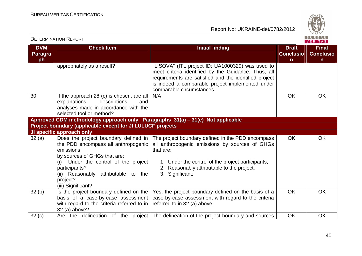

|                                    | <b>DETERMINATION REPORT</b>                                                                                                                                                                                              |                                                                                                                                                                                                                                                   | BUREAU<br><b>VERITAS</b>                         |                                                  |  |
|------------------------------------|--------------------------------------------------------------------------------------------------------------------------------------------------------------------------------------------------------------------------|---------------------------------------------------------------------------------------------------------------------------------------------------------------------------------------------------------------------------------------------------|--------------------------------------------------|--------------------------------------------------|--|
| <b>DVM</b><br><b>Paragra</b><br>ph | <b>Check Item</b>                                                                                                                                                                                                        | <b>Initial finding</b>                                                                                                                                                                                                                            | <b>Draft</b><br><b>Conclusio</b><br>$\mathsf{n}$ | <b>Final</b><br><b>Conclusio</b><br>$\mathsf{n}$ |  |
|                                    | appropriately as a result?                                                                                                                                                                                               | "LISOVA" (ITL project ID: UA1000329) was used to<br>meet criteria identified by the Guidance. Thus, all<br>requirements are satisfied and the identified project<br>is indeed a comparable project implemented under<br>comparable circumstances. |                                                  |                                                  |  |
| 30                                 | If the approach 28 (c) is chosen, are all<br>explanations,<br>descriptions<br>and<br>analyses made in accordance with the<br>selected tool or method?                                                                    | N/A                                                                                                                                                                                                                                               | <b>OK</b>                                        | <b>OK</b>                                        |  |
|                                    | Approved CDM methodology approach only_ Paragraphs 31(a) - 31(e)_Not applicable                                                                                                                                          |                                                                                                                                                                                                                                                   |                                                  |                                                  |  |
|                                    | Project boundary (applicable except for JI LULUCF projects                                                                                                                                                               |                                                                                                                                                                                                                                                   |                                                  |                                                  |  |
|                                    | JI specific approach only                                                                                                                                                                                                |                                                                                                                                                                                                                                                   |                                                  |                                                  |  |
| 32(a)                              | Does the project boundary defined in<br>the PDD encompass all anthropogenic<br>emissions<br>by sources of GHGs that are:<br>(i) Under the control of the project<br>participants?<br>(ii) Reasonably attributable to the | The project boundary defined in the PDD encompass<br>all anthropogenic emissions by sources of GHGs<br>that are:<br>1. Under the control of the project participants;<br>2. Reasonably attributable to the project;<br>3. Significant;            | <b>OK</b>                                        | <b>OK</b>                                        |  |
|                                    | project?<br>(iii) Significant?                                                                                                                                                                                           |                                                                                                                                                                                                                                                   |                                                  |                                                  |  |
| 32(b)                              | Is the project boundary defined on the<br>basis of a case-by-case assessment<br>with regard to the criteria referred to in<br>32 (a) above?                                                                              | Yes, the project boundary defined on the basis of a<br>case-by-case assessment with regard to the criteria<br>referred to in 32 (a) above.                                                                                                        | <b>OK</b>                                        | <b>OK</b>                                        |  |
| 32(c)                              |                                                                                                                                                                                                                          | Are the delineation of the project The delineation of the project boundary and sources                                                                                                                                                            | OK                                               | <b>OK</b>                                        |  |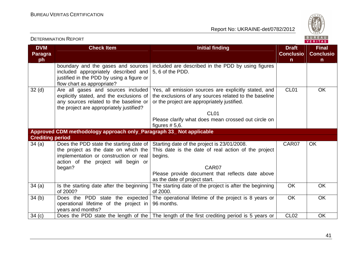DETERMINATION REPORT



| <b>DVM</b><br><b>Paragra</b><br>ph | <b>Check Item</b>                                                                                                                                                    | <b>Initial finding</b>                                                                                                                                                                                                         | <b>Draft</b><br><b>Conclusio</b><br>$\mathsf{n}$ | <b>Final</b><br><b>Conclusio</b><br>$\mathsf{n}$ |  |
|------------------------------------|----------------------------------------------------------------------------------------------------------------------------------------------------------------------|--------------------------------------------------------------------------------------------------------------------------------------------------------------------------------------------------------------------------------|--------------------------------------------------|--------------------------------------------------|--|
|                                    | boundary and the gases and sources<br>included appropriately described and<br>justified in the PDD by using a figure or<br>flow chart as appropriate?                | included are described in the PDD by using figures<br>5, 6 of the PDD.                                                                                                                                                         |                                                  |                                                  |  |
| 32 <sub>(d)</sub>                  | Are all gases and sources included<br>explicitly stated, and the exclusions of<br>any sources related to the baseline or<br>the project are appropriately justified? | Yes, all emission sources are explicitly stated, and<br>the exclusions of any sources related to the baseline<br>or the project are appropriately justified.<br>CL <sub>01</sub>                                               | CL <sub>01</sub>                                 | <b>OK</b>                                        |  |
|                                    |                                                                                                                                                                      | Please clarify what does mean crossed out circle on<br>figures $# 5, 6.$                                                                                                                                                       |                                                  |                                                  |  |
|                                    | Approved CDM methodology approach only_Paragraph 33_ Not applicable                                                                                                  |                                                                                                                                                                                                                                |                                                  |                                                  |  |
| <b>Crediting period</b>            |                                                                                                                                                                      |                                                                                                                                                                                                                                |                                                  |                                                  |  |
| 34(a)                              | the project as the date on which the<br>implementation or construction or real<br>action of the project will begin or<br>began?                                      | Does the PDD state the starting date of Starting date of the project is 23/01/2008.<br>This date is the date of real action of the project<br>begins.<br>CAR <sub>07</sub><br>Please provide document that reflects date above | CAR07                                            | OK                                               |  |
| 34(a)                              | Is the starting date after the beginning<br>of 2000?                                                                                                                 | as the date of project start.<br>The starting date of the project is after the beginning<br>of 2000.                                                                                                                           | OK                                               | <b>OK</b>                                        |  |
| 34(b)                              | Does the PDD state the expected<br>operational lifetime of the project in<br>years and months?                                                                       | The operational lifetime of the project is 8 years or<br>96 months.                                                                                                                                                            | OK                                               | <b>OK</b>                                        |  |
| 34(c)                              |                                                                                                                                                                      | Does the PDD state the length of the   The length of the first crediting period is 5 years or                                                                                                                                  | <b>CL02</b>                                      | <b>OK</b>                                        |  |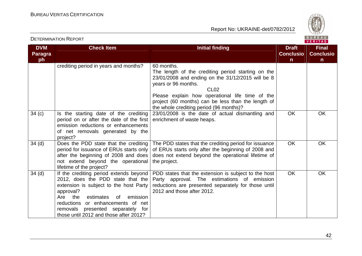

| <b>DVM</b><br><b>Paragra</b> | <b>Check Item</b>                                                                                                                                                                                                                                                                                      | <b>Initial finding</b>                                                                                                                                                                                                                                                                                               | <b>Draft</b><br><b>Conclusio</b> | <b>Final</b><br><b>Conclusio</b> |
|------------------------------|--------------------------------------------------------------------------------------------------------------------------------------------------------------------------------------------------------------------------------------------------------------------------------------------------------|----------------------------------------------------------------------------------------------------------------------------------------------------------------------------------------------------------------------------------------------------------------------------------------------------------------------|----------------------------------|----------------------------------|
| ph                           |                                                                                                                                                                                                                                                                                                        |                                                                                                                                                                                                                                                                                                                      | $\mathsf{n}$                     | $\mathsf{n}$                     |
|                              | crediting period in years and months?                                                                                                                                                                                                                                                                  | 60 months.<br>The length of the crediting period starting on the<br>23/01/2008 and ending on the 31/12/2015 will be 8<br>years or 96 months.<br>CL <sub>02</sub><br>Please explain how operational life time of the<br>project (60 months) can be less than the length of<br>the whole crediting period (96 months)? |                                  |                                  |
| 34(c)                        | Is the starting date of the crediting<br>period on or after the date of the first<br>emission reductions or enhancements<br>of net removals generated by the<br>project?                                                                                                                               | 23/01/2008 is the date of actual dismantling and<br>enrichment of waste heaps.                                                                                                                                                                                                                                       | <b>OK</b>                        | <b>OK</b>                        |
| 34 <sub>(d)</sub>            | Does the PDD state that the crediting<br>period for issuance of ERUs starts only<br>after the beginning of 2008 and does<br>not extend beyond the operational<br>lifetime of the project?                                                                                                              | The PDD states that the crediting period for issuance<br>of ERUs starts only after the beginning of 2008 and<br>does not extend beyond the operational lifetime of<br>the project.                                                                                                                                   | <b>OK</b>                        | <b>OK</b>                        |
| 34 <sub>(d)</sub>            | If the crediting period extends beyond<br>2012, does the PDD state that the<br>extension is subject to the host Party<br>approval?<br>the<br>estimates<br>emission<br>Are<br>0f<br>or enhancements of net<br>reductions<br>removals presented separately for<br>those until 2012 and those after 2012? | PDD states that the extension is subject to the host<br>Party approval. The estimations of emission<br>reductions are presented separately for those until<br>2012 and those after 2012.                                                                                                                             | <b>OK</b>                        | <b>OK</b>                        |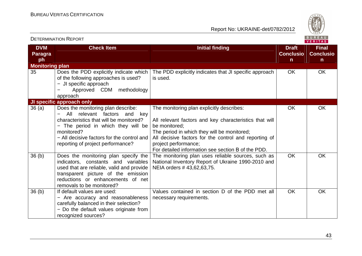

| <b>DETERMINATION REPORT</b>        |                                                                                                                                                                                                                                                               |                                                                                                                                                                                                                                                                                                            | BUREAU<br>VERITAS                                |                                                  |  |
|------------------------------------|---------------------------------------------------------------------------------------------------------------------------------------------------------------------------------------------------------------------------------------------------------------|------------------------------------------------------------------------------------------------------------------------------------------------------------------------------------------------------------------------------------------------------------------------------------------------------------|--------------------------------------------------|--------------------------------------------------|--|
| <b>DVM</b><br><b>Paragra</b><br>ph | <b>Check Item</b>                                                                                                                                                                                                                                             | <b>Initial finding</b>                                                                                                                                                                                                                                                                                     | <b>Draft</b><br><b>Conclusio</b><br>$\mathsf{n}$ | <b>Final</b><br><b>Conclusio</b><br>$\mathsf{n}$ |  |
| <b>Monitoring plan</b>             |                                                                                                                                                                                                                                                               |                                                                                                                                                                                                                                                                                                            |                                                  |                                                  |  |
| 35                                 | Does the PDD explicitly indicate which<br>of the following approaches is used?<br>- JI specific approach<br>Approved CDM methodology<br>approach                                                                                                              | The PDD explicitly indicates that JI specific approach<br>is used.                                                                                                                                                                                                                                         | <b>OK</b>                                        | <b>OK</b>                                        |  |
|                                    | JI specific approach only                                                                                                                                                                                                                                     |                                                                                                                                                                                                                                                                                                            |                                                  |                                                  |  |
| 36(a)                              | Does the monitoring plan describe:<br>relevant factors<br>All<br>and<br>key<br>characteristics that will be monitored?<br>- The period in which they will be<br>monitored?<br>- All decisive factors for the control and<br>reporting of project performance? | The monitoring plan explicitly describes:<br>All relevant factors and key characteristics that will<br>be monitored:<br>The period in which they will be monitored;<br>All decisive factors for the control and reporting of<br>project performance;<br>For detailed information see section B of the PDD. | <b>OK</b>                                        | <b>OK</b>                                        |  |
| 36 <sub>(b)</sub>                  | Does the monitoring plan specify the<br>indicators, constants and variables<br>used that are reliable, valid and provide<br>transparent picture of the emission<br>reductions or enhancements of net<br>removals to be monitored?                             | The monitoring plan uses reliable sources, such as<br>National Inventory Report of Ukraine 1990-2010 and<br>NEIA orders #43,62,63,75.                                                                                                                                                                      | <b>OK</b>                                        | <b>OK</b>                                        |  |
| 36(b)                              | If default values are used:<br>- Are accuracy and reasonableness<br>carefully balanced in their selection?<br>- Do the default values originate from<br>recognized sources?                                                                                   | Values contained in section D of the PDD met all<br>necessary requirements.                                                                                                                                                                                                                                | <b>OK</b>                                        | <b>OK</b>                                        |  |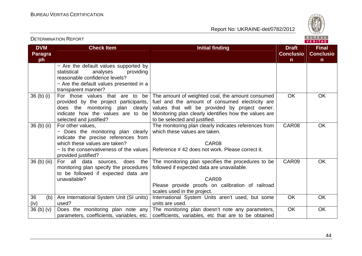

| <b>DVM</b><br><b>Paragra</b><br>ph | <b>Check Item</b>                                                                                                                                                                | <b>Initial finding</b>                                                                                                                                                                                                                                                          | <b>Draft</b><br><b>Conclusio</b><br>$\mathsf{n}$ | <b>Final</b><br><b>Conclusio</b><br>$\mathsf{n}$ |
|------------------------------------|----------------------------------------------------------------------------------------------------------------------------------------------------------------------------------|---------------------------------------------------------------------------------------------------------------------------------------------------------------------------------------------------------------------------------------------------------------------------------|--------------------------------------------------|--------------------------------------------------|
|                                    | - Are the default values supported by<br>statistical<br>analyses<br>providing<br>reasonable confidence levels?<br>- Are the default values presented in a<br>transparent manner? |                                                                                                                                                                                                                                                                                 |                                                  |                                                  |
| $36$ (b) (i)                       | provided by the project participants,<br>does the monitoring plan clearly<br>indicate how the values are to be<br>selected and justified?                                        | For those values that are to be The amount of weighted coal, the amount consumed<br>fuel and the amount of consumed electricity are<br>values that will be provided by project owner.<br>Monitoring plan clearly identifies how the values are<br>to be selected and justified. | <b>OK</b>                                        | <b>OK</b>                                        |
| 36 (b) (ii)                        | For other values,<br>- Does the monitoring plan clearly<br>indicate the precise references from<br>which these values are taken?<br>provided justified?                          | The monitoring plan clearly indicates references from<br>which these values are taken.<br>CAR08<br>$-$ Is the conservativeness of the values   Reference #42 does not work. Please correct it.                                                                                  | CAR08                                            | <b>OK</b>                                        |
| 36 (b) (iii)                       | For all data sources, does the<br>monitoring plan specify the procedures<br>to be followed if expected data are<br>unavailable?                                                  | The monitoring plan specifies the procedures to be<br>followed if expected data are unavailable.<br>CAR09<br>Please provide proofs on calibration of railroad<br>scales used in the project.                                                                                    | CAR09                                            | <b>OK</b>                                        |
| 36<br>(b)<br>(iv)                  | Are International System Unit (SI units)<br>used?                                                                                                                                | International System Units aren't used, but some<br>units are used.                                                                                                                                                                                                             | <b>OK</b>                                        | <b>OK</b>                                        |
| 36(b)(v)                           | Does the monitoring plan note any<br>parameters, coefficients, variables, etc.                                                                                                   | The monitoring plan doesn't note any parameters,<br>coefficients, variables, etc that are to be obtained                                                                                                                                                                        | OK                                               | OK                                               |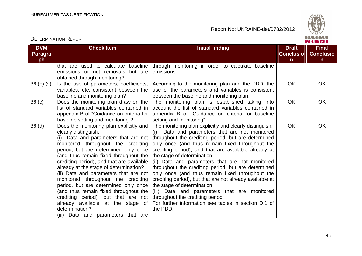

| <b>DVM</b><br><b>Paragra</b> | <b>Check Item</b>                                                                                                                                                                                                                                                                                                                                                                                                                                                                                                                                                                                                         | <b>Initial finding</b>                                                                                                                                                                                                                                                                                                                                                                                                                                                                                                                                                                                                                                                                                                 | <b>Draft</b><br><b>Conclusio</b><br>$\mathsf{n}$ | <b>Final</b><br><b>Conclusio</b><br>$\mathsf{n}$ |
|------------------------------|---------------------------------------------------------------------------------------------------------------------------------------------------------------------------------------------------------------------------------------------------------------------------------------------------------------------------------------------------------------------------------------------------------------------------------------------------------------------------------------------------------------------------------------------------------------------------------------------------------------------------|------------------------------------------------------------------------------------------------------------------------------------------------------------------------------------------------------------------------------------------------------------------------------------------------------------------------------------------------------------------------------------------------------------------------------------------------------------------------------------------------------------------------------------------------------------------------------------------------------------------------------------------------------------------------------------------------------------------------|--------------------------------------------------|--------------------------------------------------|
| ph                           | that are used to calculate baseline<br>emissions or net removals but are<br>obtained through monitoring?                                                                                                                                                                                                                                                                                                                                                                                                                                                                                                                  | through monitoring in order to calculate baseline<br>emissions.                                                                                                                                                                                                                                                                                                                                                                                                                                                                                                                                                                                                                                                        |                                                  |                                                  |
| 36(b)(v)                     | Is the use of parameters, coefficients,<br>variables, etc. consistent between the<br>baseline and monitoring plan?                                                                                                                                                                                                                                                                                                                                                                                                                                                                                                        | According to the monitoring plan and the PDD, the<br>use of the parameters and variables is consistent<br>between the baseline and monitoring plan.                                                                                                                                                                                                                                                                                                                                                                                                                                                                                                                                                                    | <b>OK</b>                                        | OK                                               |
| 36 <sub>(c)</sub>            | Does the monitoring plan draw on the<br>list of standard variables contained in<br>appendix B of "Guidance on criteria for<br>baseline setting and monitoring"?                                                                                                                                                                                                                                                                                                                                                                                                                                                           | The monitoring plan is established taking into<br>account the list of standard variables contained in<br>appendix B of "Guidance on criteria for baseline<br>setting and monitoring".                                                                                                                                                                                                                                                                                                                                                                                                                                                                                                                                  | <b>OK</b>                                        | OK                                               |
| 36(d)                        | Does the monitoring plan explicitly and<br>clearly distinguish:<br>(i) Data and parameters that are not<br>monitored throughout the crediting<br>period, but are determined only once<br>(and thus remain fixed throughout the<br>crediting period), and that are available<br>already at the stage of determination?<br>(ii) Data and parameters that are not<br>monitored throughout the crediting<br>period, but are determined only once<br>(and thus remain fixed throughout the<br>crediting period), but that are not<br>already available at the stage of<br>determination?<br>(iii) Data and parameters that are | The monitoring plan explicitly and clearly distinguish:<br>Data and parameters that are not monitored<br>throughout the crediting period, but are determined<br>only once (and thus remain fixed throughout the<br>crediting period), and that are available already at<br>the stage of determination.<br>(ii) Data and parameters that are not monitored<br>throughout the crediting period, but are determined<br>only once (and thus remain fixed throughout the<br>crediting period), but that are not already available at<br>the stage of determination.<br>(iii) Data and parameters that are monitored<br>throughout the crediting period.<br>For further information see tables in section D.1 of<br>the PDD. | <b>OK</b>                                        | OK                                               |

#### DETERMINATION REPORT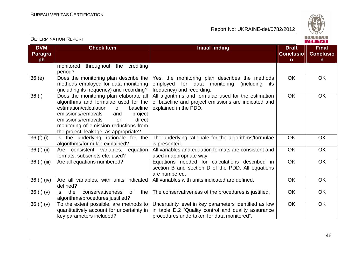DETERMINATION REPORT

Report No: UKRAINE-det/0782/2012



**VERITAS** 

**DVM Paragraph Check Item Initial finding Check Item Initial finding Check Item Initial finding Initial finding Draft Initial finding ConclusionFinal Conclusion** monitored throughout the crediting period? 36 (e) Does the monitoring plan describe the methods employed for data monitoring (including its frequency) and recording? 36 (f) Does the monitoring plan elaborate all Yes, the monitoring plan describes the methods employed for data monitoring (including its frequency) and recording. All algorithms and formulae used for the estimationOK OK algorithms and formulae used for the baseline estimation/calculation of project emissions/removals and direct emissions/removals or monitoring of emission reductions from the project, leakage, as appropriate? 36 (f) (i)  $\vert$  is the underlying rationale for the of baseline and project emissions are indicated andexplained in the PDD. OK OK algorithms/formulae explained? 36 (f) (ii)  $\begin{vmatrix} \text{Are} & \text{consistent} \\ \text{Variables} & \text{equation} \end{vmatrix}$ The underlying rationale for the algorithms/formulae is presented. All variables and equation formats are consistent and OK OK formats, subscripts etc. used? used in appropriate way. 36 (f) (iii) Are all equations numbered?  $\vert$  Equations needed for calculations described in OK OK section B and section D of the PDD. All equations are numbered. All variables with units indicated are defined.  $\overline{O}$  OK  $\overline{O}$  OK OK OK 36 (f) (iv)  $\vert$  Are all variables, with units indicated defined? 36 (f) (v)  $\vert$  is the conservativeness of the algorithms/procedures justified? 36 (f) (v)  $\overline{\phantom{a}}$  To the extent possible, are methods to The conservativeness of the procedures is justified. COK COK quantitatively account for uncertainty in key parameters included? Uncertainty level in key parameters identified as low in table D.2 "Quality control and quality assuranceprocedures undertaken for data monitored". OK OK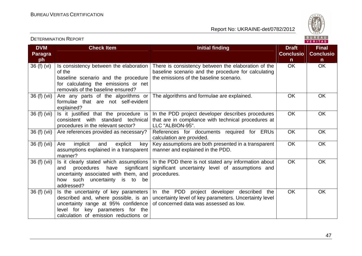DETERMINATION REPORT

Report No: UKRAINE-det/0782/2012



**VERITAS** 

#### **DVM Paragraph**  $36(f)(vi)$ **Check Item Initial finding Check Item Initial finding Check Item Initial finding Initial finding Draft Initial finding Conclusion** $\overline{OK}$ **Final Conclusion** OK OK Is consistency between the elaboration of the baseline scenario and the procedure for calculating the emissions or net removals of the baseline ensured? )  $|$  Are any parts of the algorithms or There is consistency between the elaboration of the baseline scenario and the procedure for calculatingthe emissions of the baseline scenario. 36 (f)  $(vii)$ formulae that are not self-evident explained? ) Is it justified that the procedure is The algorithms and formulae are explained. 
<br>
OK 
OK 36 (f) (vii)consistent with standard technical procedures in the relevant sector? Are references provided as necessary? In the PDD project developer describes procedures that are in compliance with technical procedures atLLC "ALBION-95". )  $|$  Are references provided as necessary?  $|$  References for documents required for ERUs OK OK 36 (f) (vii)calculation are provided. Key assumptions are both presented in a transparentOK OK 36 (f) (vii) Are implicit and explicit key assumptions explained in a transparent | manner and explained in the PDD. manner? ) Is it clearly stated which assumptions OK OK 36 (f) (vii)and procedures have significant uncertainty associated with them, and how such uncertainty is to be addressed? ) Is the uncertainty of key parameters In the PDD there is not stated any information about significant uncertainty level of assumptions and procedures. OK OK 36 (f) (vii)described and, where possible, is an uncertainty range at 95% confidence level for key parameters for the calculation of emission reductions or In the PDD project developer described the uncertainty level of key parameters. Uncertainty level of concerned data was assessed as low. OK OK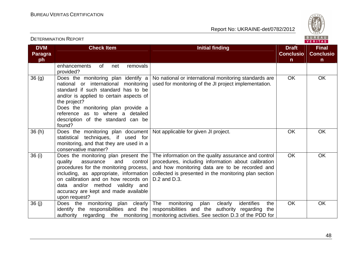

| <b>DVM</b><br><b>Paragra</b><br>ph | <b>Check Item</b>                                                                                                                                                                                                                                                                                          | <b>Initial finding</b>                                                                                                                                                                                                                 | <b>Draft</b><br><b>Conclusio</b><br>$\mathsf{n}$ | <b>Final</b><br><b>Conclusio</b><br>$\mathsf{n}$ |
|------------------------------------|------------------------------------------------------------------------------------------------------------------------------------------------------------------------------------------------------------------------------------------------------------------------------------------------------------|----------------------------------------------------------------------------------------------------------------------------------------------------------------------------------------------------------------------------------------|--------------------------------------------------|--------------------------------------------------|
|                                    | of<br>removals<br>enhancements<br>net<br>provided?                                                                                                                                                                                                                                                         |                                                                                                                                                                                                                                        |                                                  |                                                  |
| 36(9)                              | Does the monitoring plan identify a<br>national or international monitoring<br>standard if such standard has to be<br>and/or is applied to certain aspects of<br>the project?<br>Does the monitoring plan provide a<br>reference as to where a<br>detailed<br>description of the standard can be<br>found? | No national or international monitoring standards are<br>used for monitoring of the JI project implementation.                                                                                                                         | <b>OK</b>                                        | <b>OK</b>                                        |
| 36(h)                              | Does the monitoring plan document<br>statistical techniques, if used for<br>monitoring, and that they are used in a<br>conservative manner?                                                                                                                                                                | Not applicable for given JI project.                                                                                                                                                                                                   | <b>OK</b>                                        | OK                                               |
| 36(i)                              | Does the monitoring plan present the<br>quality<br>assurance<br>and<br>control<br>procedures for the monitoring process,<br>including, as appropriate, information<br>on calibration and on how records on<br>data and/or method validity and<br>accuracy are kept and made available<br>upon request?     | The information on the quality assurance and control<br>procedures, including information about calibration<br>and how monitoring data are to be recorded and<br>collected is presented in the monitoring plan section<br>D.2 and D.3. | <b>OK</b>                                        | <b>OK</b>                                        |
| 36(j)                              | Does the monitoring plan clearly<br>identify the responsibilities and the                                                                                                                                                                                                                                  | The<br>identifies<br>monitoring<br>plan<br>clearly<br>the<br>responsibilities and the authority regarding<br>the<br>authority regarding the monitoring   monitoring activities. See section D.3 of the PDD for                         | <b>OK</b>                                        | <b>OK</b>                                        |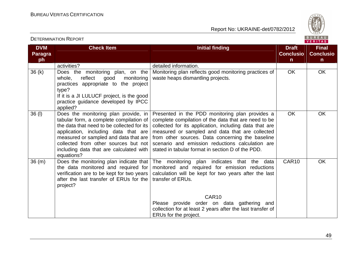

| <b>DVM</b><br><b>Paragra</b> | <b>Check Item</b>                                                                                                                                                                                                                                                                                               | <b>Initial finding</b>                                                                                                                                                                                                                                                                                                                                                            | <b>Draft</b><br><b>Conclusio</b> | <b>Final</b><br><b>Conclusio</b> |
|------------------------------|-----------------------------------------------------------------------------------------------------------------------------------------------------------------------------------------------------------------------------------------------------------------------------------------------------------------|-----------------------------------------------------------------------------------------------------------------------------------------------------------------------------------------------------------------------------------------------------------------------------------------------------------------------------------------------------------------------------------|----------------------------------|----------------------------------|
| ph                           |                                                                                                                                                                                                                                                                                                                 |                                                                                                                                                                                                                                                                                                                                                                                   | $\mathsf{n}$                     | $\mathsf{n}$                     |
|                              | activities?                                                                                                                                                                                                                                                                                                     | detailed information.                                                                                                                                                                                                                                                                                                                                                             |                                  |                                  |
| 36(k)                        | Does the monitoring plan, on the<br>whole,<br>reflect<br>good<br>monitoring<br>practices appropriate to the project<br>type?<br>If it is a JI LULUCF project, is the good<br>practice guidance developed by IPCC<br>applied?                                                                                    | Monitoring plan reflects good monitoring practices of<br>waste heaps dismantling projects.                                                                                                                                                                                                                                                                                        | OK                               | <b>OK</b>                        |
| 36 (I)                       | Does the monitoring plan provide, in<br>tabular form, a complete compilation of<br>the data that need to be collected for its<br>application, including data that are<br>measured or sampled and data that are<br>collected from other sources but not<br>including data that are calculated with<br>equations? | Presented in the PDD monitoring plan provides a<br>complete compilation of the data that are need to be<br>collected for its application, including data that are<br>measured or sampled and data that are collected<br>from other sources. Data concerning the baseline<br>scenario and emission reductions calculation are<br>stated in tabular format in section D of the PDD. | <b>OK</b>                        | <b>OK</b>                        |
| 36 (m)                       | Does the monitoring plan indicate that<br>the data monitored and required for<br>verification are to be kept for two years<br>after the last transfer of ERUs for the<br>project?                                                                                                                               | The monitoring plan indicates that the data<br>monitored and required for emission reductions<br>calculation will be kept for two years after the last<br>transfer of ERUs.                                                                                                                                                                                                       | CAR10                            | <b>OK</b>                        |
|                              |                                                                                                                                                                                                                                                                                                                 | CAR <sub>10</sub><br>Please provide order on data gathering and<br>collection for at least 2 years after the last transfer of<br>ERUs for the project.                                                                                                                                                                                                                            |                                  |                                  |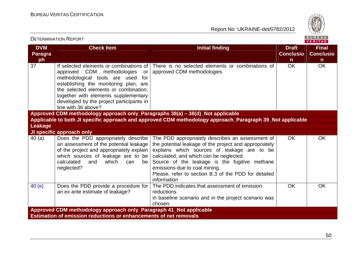

| BUREAU<br><b>DETERMINATION REPORT</b><br><b>VERITAS</b>            |                                                                                                                                                                                                                                                                                                                  |                                                                                                                                                                                                                                                                                                                                                               |                                                  |                                                  |  |
|--------------------------------------------------------------------|------------------------------------------------------------------------------------------------------------------------------------------------------------------------------------------------------------------------------------------------------------------------------------------------------------------|---------------------------------------------------------------------------------------------------------------------------------------------------------------------------------------------------------------------------------------------------------------------------------------------------------------------------------------------------------------|--------------------------------------------------|--------------------------------------------------|--|
| <b>DVM</b><br><b>Paragra</b><br>ph                                 | <b>Check Item</b>                                                                                                                                                                                                                                                                                                | <b>Initial finding</b>                                                                                                                                                                                                                                                                                                                                        | <b>Draft</b><br><b>Conclusio</b><br>$\mathsf{n}$ | <b>Final</b><br><b>Conclusio</b><br>$\mathsf{n}$ |  |
| 37                                                                 | If selected elements or combinations of<br>approved CDM methodologies<br>or<br>methodological tools are used<br>for<br>establishing the monitoring plan, are<br>the selected elements or combination,<br>together with elements supplementary<br>developed by the project participants in<br>line with 36 above? | There is no selected elements or combinations of<br>approved CDM methodologies                                                                                                                                                                                                                                                                                | <b>OK</b>                                        | <b>OK</b>                                        |  |
|                                                                    | Approved CDM methodology approach only_Paragraphs 38(a) - 38(d)_Not applicable                                                                                                                                                                                                                                   |                                                                                                                                                                                                                                                                                                                                                               |                                                  |                                                  |  |
| <b>Leakage</b>                                                     |                                                                                                                                                                                                                                                                                                                  | Applicable to both JI specific approach and approved CDM methodology approach_Paragraph 39_Not applicable                                                                                                                                                                                                                                                     |                                                  |                                                  |  |
|                                                                    | JI specific approach only                                                                                                                                                                                                                                                                                        |                                                                                                                                                                                                                                                                                                                                                               |                                                  |                                                  |  |
| 40(a)                                                              | Does the PDD appropriately describe<br>an assessment of the potential leakage<br>of the project and appropriately explain<br>which sources of leakage are to be<br>calculated<br>which<br>and<br>can<br>be<br>neglected?                                                                                         | The PDD appropriately describes an assessment of<br>the potential leakage of the project and appropriately<br>explains which sources of leakage are to be<br>calculated, and which can be neglected.<br>Source of the leakage is the fugitive methane<br>emissions due to coal mining.<br>Please, refer to section B.3 of the PDD for detailed<br>information | <b>OK</b>                                        | <b>OK</b>                                        |  |
| 40(B)                                                              | Does the PDD provide a procedure for<br>an ex ante estimate of leakage?                                                                                                                                                                                                                                          | The PDD indicates that assessment of emission<br>reductions<br>in baseline scenario and in the project scenario was<br>chosen.                                                                                                                                                                                                                                | <b>OK</b>                                        | <b>OK</b>                                        |  |
| Approved CDM methodology approach only_Paragraph 41_Not applicable |                                                                                                                                                                                                                                                                                                                  |                                                                                                                                                                                                                                                                                                                                                               |                                                  |                                                  |  |
|                                                                    | <b>Estimation of emission reductions or enhancements of net removals</b>                                                                                                                                                                                                                                         |                                                                                                                                                                                                                                                                                                                                                               |                                                  |                                                  |  |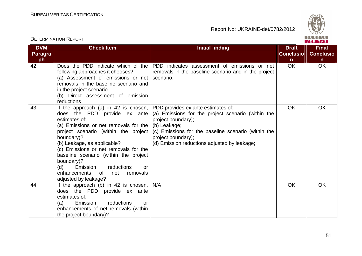

| <b>DVM</b><br><b>Paragra</b><br>ph | <b>Check Item</b>                                                                                                                                                                                                                                                                                                                                                                                                                                                                    | <b>Initial finding</b>                                                                                                                                                                                | <b>Draft</b><br><b>Conclusio</b><br>$\mathsf{n}$ | <b>Final</b><br><b>Conclusio</b><br>$\mathsf{n}$ |
|------------------------------------|--------------------------------------------------------------------------------------------------------------------------------------------------------------------------------------------------------------------------------------------------------------------------------------------------------------------------------------------------------------------------------------------------------------------------------------------------------------------------------------|-------------------------------------------------------------------------------------------------------------------------------------------------------------------------------------------------------|--------------------------------------------------|--------------------------------------------------|
| 42                                 | following approaches it chooses?<br>(a) Assessment of emissions or net<br>removals in the baseline scenario and<br>in the project scenario<br>(b) Direct assessment of emission<br>reductions                                                                                                                                                                                                                                                                                        | Does the PDD indicate which of the PDD indicates assessment of emissions or net<br>removals in the baseline scenario and in the project<br>scenario.                                                  | <b>OK</b>                                        | <b>OK</b>                                        |
| 43                                 | If the approach (a) in 42 is chosen, PDD provides ex ante estimates of:<br>does the PDD provide ex ante<br>estimates of:<br>(a) Emissions or net removals for the $\vert$ (b) Leakage;<br>project scenario (within the project)<br>boundary)?<br>(b) Leakage, as applicable?<br>(c) Emissions or net removals for the<br>baseline scenario (within the project<br>boundary)?<br>(d)<br>Emission<br>reductions<br>or<br>enhancements<br>of<br>net<br>removals<br>adjusted by leakage? | (a) Emissions for the project scenario (within the<br>project boundary);<br>(c) Emissions for the baseline scenario (within the<br>project boundary);<br>(d) Emission reductions adjusted by leakage; | <b>OK</b>                                        | <b>OK</b>                                        |
| 44                                 | If the approach (b) in 42 is chosen,<br>does the PDD provide ex ante<br>estimates of:<br>reductions<br>Emission<br>(a)<br>or<br>enhancements of net removals (within<br>the project boundary)?                                                                                                                                                                                                                                                                                       | N/A                                                                                                                                                                                                   | OK                                               | <b>OK</b>                                        |

## DETERMINATION REPORT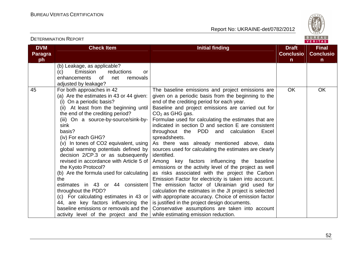DETERMINATION REPORT

Report No: UKRAINE-det/0782/2012



**VERITAS** 

#### **DVM Paragraph Check Item Initial finding Check Item Initial finding Check Item Initial finding Initial finding Check Item Initial finding Initial finding Initial finding Initial finding Initial finding Initial finding Initial finding I ConclusionFinal Conclusion** (b) Leakage, as applicable? (c) Emission reductions or enhancements of net removals adjusted by leakage? 45 For both approaches in 42 (a) Are the estimates in 43 or 44 given: (i) On a periodic basis? (ii) At least from the beginning until the end of the crediting period? (iii) On a source-by-source/sink-bysink basis? (iv) For each GHG? (v) In tones of CO2 equivalent, using global warming potentials defined by decision 2/CP.3 or as subsequently revised in accordance with Article 5 of the Kyoto Protocol? (b) Are the formula used for calculating the estimates in 43 or 44 consistent throughout the PDD? (c) For calculating estimates in 43 or 44, are key factors influencing the baseline emissions or removals and the activity level of the project and the The baseline emissions and project emissions are given on a periodic basis from the beginning to theend of the crediting period for each year. Baseline and project emissions are carried out for  $CO<sub>2</sub>$  as GHG gas. Formulae used for calculating the estimates that are indicated in section D and section E are consistent throughout the PDD and calculation Excel spreadsheets. As there was already mentioned above, data sources used for calculating the estimates are clearly identified. Among key factors influencing the baseline emissions or the activity level of the project as well as risks associated with the project the Carbon Emission Factor for electricity is taken into account. The emission factor of Ukrainian grid used for calculation the estimates in the JI project is selected with appropriate accuracy. Choice of emission factor is justified in the project design documents. Conservative assumptions are taken into account while estimating emission reduction. OK OK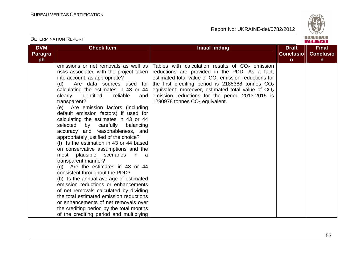

|                              |                                                                                                                                                                                                                                                                                                                                                                                                                                                                                                                                                                                                                                                                                                                                                                                                                                                             |                                                                                                                                                                                                                                                                                                                                                                      |                                  | VERIIAS.                         |
|------------------------------|-------------------------------------------------------------------------------------------------------------------------------------------------------------------------------------------------------------------------------------------------------------------------------------------------------------------------------------------------------------------------------------------------------------------------------------------------------------------------------------------------------------------------------------------------------------------------------------------------------------------------------------------------------------------------------------------------------------------------------------------------------------------------------------------------------------------------------------------------------------|----------------------------------------------------------------------------------------------------------------------------------------------------------------------------------------------------------------------------------------------------------------------------------------------------------------------------------------------------------------------|----------------------------------|----------------------------------|
| <b>DVM</b><br><b>Paragra</b> | <b>Check Item</b>                                                                                                                                                                                                                                                                                                                                                                                                                                                                                                                                                                                                                                                                                                                                                                                                                                           | <b>Initial finding</b>                                                                                                                                                                                                                                                                                                                                               | <b>Draft</b><br><b>Conclusio</b> | <b>Final</b><br><b>Conclusio</b> |
|                              |                                                                                                                                                                                                                                                                                                                                                                                                                                                                                                                                                                                                                                                                                                                                                                                                                                                             |                                                                                                                                                                                                                                                                                                                                                                      |                                  |                                  |
| ph                           | emissions or net removals as well as<br>risks associated with the project taken<br>into account, as appropriate?<br>(d)<br>Are data sources used for<br>calculating the estimates in 43 or 44<br>clearly<br>identified,<br>reliable<br>and<br>transparent?<br>(e) Are emission factors (including<br>default emission factors) if used for<br>calculating the estimates in 43 or 44<br>selected by carefully<br>balancing<br>accuracy and reasonableness, and<br>appropriately justified of the choice?<br>(f) Is the estimation in 43 or 44 based<br>on conservative assumptions and the<br>plausible scenarios<br>most<br>in a<br>transparent manner?<br>$(g)$ Are the estimates in 43 or 44<br>consistent throughout the PDD?<br>(h) Is the annual average of estimated<br>emission reductions or enhancements<br>of net removals calculated by dividing | Tables with calculation results of $CO2$ emission<br>reductions are provided in the PDD. As a fact,<br>estimated total value of $CO2$ emission reductions for<br>the first crediting period is $2185388$ tonnes $CO2$<br>equivalent; moreover, estimated total value of $CO2$<br>emission reductions for the period 2013-2015 is<br>1290978 tonnes $CO2$ equivalent. | $\mathsf{n}$                     | $\mathsf{n}$                     |
|                              | the total estimated emission reductions                                                                                                                                                                                                                                                                                                                                                                                                                                                                                                                                                                                                                                                                                                                                                                                                                     |                                                                                                                                                                                                                                                                                                                                                                      |                                  |                                  |
|                              | or enhancements of net removals over                                                                                                                                                                                                                                                                                                                                                                                                                                                                                                                                                                                                                                                                                                                                                                                                                        |                                                                                                                                                                                                                                                                                                                                                                      |                                  |                                  |
|                              | the crediting period by the total months                                                                                                                                                                                                                                                                                                                                                                                                                                                                                                                                                                                                                                                                                                                                                                                                                    |                                                                                                                                                                                                                                                                                                                                                                      |                                  |                                  |
|                              |                                                                                                                                                                                                                                                                                                                                                                                                                                                                                                                                                                                                                                                                                                                                                                                                                                                             |                                                                                                                                                                                                                                                                                                                                                                      |                                  |                                  |
|                              | of the crediting period and multiplying                                                                                                                                                                                                                                                                                                                                                                                                                                                                                                                                                                                                                                                                                                                                                                                                                     |                                                                                                                                                                                                                                                                                                                                                                      |                                  |                                  |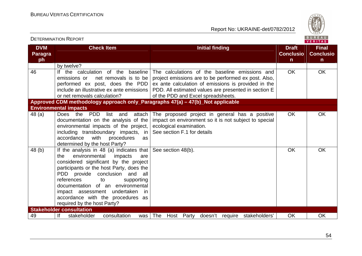

| <b>DVM</b>           | <b>Check Item</b>                                                                                                                                                                                                                                                                                                                                                                           | <b>Initial finding</b>                                                                                                                                                                                                                                      | <b>Draft</b>                     | <b>Final</b>                     |
|----------------------|---------------------------------------------------------------------------------------------------------------------------------------------------------------------------------------------------------------------------------------------------------------------------------------------------------------------------------------------------------------------------------------------|-------------------------------------------------------------------------------------------------------------------------------------------------------------------------------------------------------------------------------------------------------------|----------------------------------|----------------------------------|
| <b>Paragra</b><br>ph |                                                                                                                                                                                                                                                                                                                                                                                             |                                                                                                                                                                                                                                                             | <b>Conclusio</b><br>$\mathsf{n}$ | <b>Conclusio</b><br>$\mathsf{n}$ |
|                      | by twelve?                                                                                                                                                                                                                                                                                                                                                                                  |                                                                                                                                                                                                                                                             |                                  |                                  |
| 46                   | the calculation<br>of the<br>baseline<br>lf.<br>net removals is to be<br>emissions or<br>performed ex post, does the PDD<br>include an illustrative ex ante emissions<br>or net removals calculation?                                                                                                                                                                                       | The calculations of the baseline emissions and<br>project emissions are to be performed ex post. Also,<br>ex ante calculation of emissions is provided in the<br>PDD. All estimated values are presented in section E<br>of the PDD and Excel spreadsheets. | <b>OK</b>                        | <b>OK</b>                        |
|                      | Approved CDM methodology approach only_Paragraphs 47(a) - 47(b)_Not applicable                                                                                                                                                                                                                                                                                                              |                                                                                                                                                                                                                                                             |                                  |                                  |
|                      | <b>Environmental impacts</b>                                                                                                                                                                                                                                                                                                                                                                |                                                                                                                                                                                                                                                             |                                  |                                  |
| 48 (a)               | <b>PDD</b><br>Does the<br>list<br>attach<br>and<br>documentation on the analysis of the<br>environmental impacts of the project,<br>including transboundary impacts, in<br>with<br>procedures<br>accordance<br>as<br>determined by the host Party?                                                                                                                                          | The proposed project in general has a positive<br>impact on environment so it is not subject to special<br>ecological examination.<br>See section F.1 for details                                                                                           | OK.                              | <b>OK</b>                        |
| 48 <sub>(b)</sub>    | If the analysis in 48 (a) indicates that<br>environmental<br>the<br>impacts<br>are<br>considered significant by the project<br>participants or the host Party, does the<br>PDD provide conclusion and all<br>references<br>supporting<br>to<br>documentation of an environmental<br>impact assessment undertaken<br>in.<br>accordance with the procedures as<br>required by the host Party? | See section 48(b).                                                                                                                                                                                                                                          | OK                               | <b>OK</b>                        |
|                      | <b>Stakeholder consultation</b>                                                                                                                                                                                                                                                                                                                                                             |                                                                                                                                                                                                                                                             |                                  |                                  |
| 49                   | lf<br>consultation<br>stakeholder<br>was                                                                                                                                                                                                                                                                                                                                                    | The<br>Host Party<br>doesn't require stakeholders'                                                                                                                                                                                                          | OK                               | <b>OK</b>                        |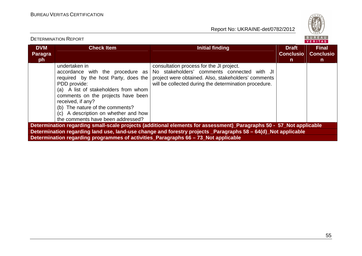DETERMINATION REPORT

Report No: UKRAINE-det/0782/2012



#### VERITAS **DVM Check Item Initial finding Check Item Initial finding Check Item Initial finding Initial finding Check Item Initial finding Initial finding Initial finding Initial finding Initial finding Initial finding Initial finding I Final Paragra Conclusio Conclusioph n n**undertaken in consultation process for the JI project. accordance with the procedure as No stakeholders' comments connected with JI required by the host Party, does the project were obtained. Also, stakeholders' commentsPDD provide: will be collected during the determination procedure. (a) A list of stakeholders from whom comments on the projects have been received, if any? (b) The nature of the comments? (c) A description on whether and how the comments have been addressed? **Determination regarding small-scale projects (additional elements for assessment)\_Paragraphs 50 - 57\_Not applicable Determination regarding land use, land-use change and forestry projects \_Paragraphs 58 – 64(d)\_Not applicable Determination regarding programmes of activities\_Paragraphs 66 – 73\_Not applicable**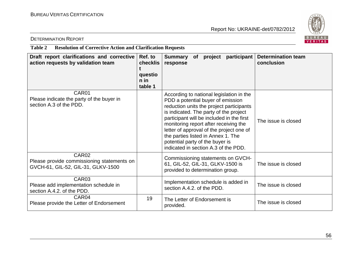

#### DETERMINATION REPORT

#### **Table 2 Resolution of Corrective Action and Clarification Requests**

| Draft report clarifications and corrective<br>action requests by validation team                      | Ref. to<br>checklis<br>questio<br>n in<br>table 1 | <b>Determination team</b><br>participant<br>Summary<br>project<br><b>of</b><br>conclusion<br>response                                                                                                                                                                                                                                                                                                                                         |
|-------------------------------------------------------------------------------------------------------|---------------------------------------------------|-----------------------------------------------------------------------------------------------------------------------------------------------------------------------------------------------------------------------------------------------------------------------------------------------------------------------------------------------------------------------------------------------------------------------------------------------|
| CAR01<br>Please indicate the party of the buyer in<br>section A.3 of the PDD.                         |                                                   | According to national legislation in the<br>PDD a potential buyer of emission<br>reduction units the project participants<br>is indicated. The party of the project<br>participant will be included in the first<br>The issue is closed<br>monitoring report after receiving the<br>letter of approval of the project one of<br>the parties listed in Annex 1. The<br>potential party of the buyer is<br>indicated in section A.3 of the PDD. |
| CAR <sub>02</sub><br>Please provide commissioning statements on<br>GVCH-61, GIL-52, GIL-31, GLKV-1500 |                                                   | Commissioning statements on GVCH-<br>61, GIL-52, GIL-31, GLKV-1500 is<br>The issue is closed<br>provided to determination group.                                                                                                                                                                                                                                                                                                              |
| CAR03<br>Please add implementation schedule in<br>section A.4.2. of the PDD.                          |                                                   | Implementation schedule is added in<br>The issue is closed<br>section A.4.2, of the PDD.                                                                                                                                                                                                                                                                                                                                                      |
| CAR04<br>Please provide the Letter of Endorsement                                                     | 19                                                | The Letter of Endorsement is<br>The issue is closed<br>provided.                                                                                                                                                                                                                                                                                                                                                                              |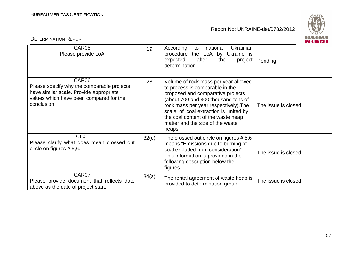

|                                                                                                                                                          |       |                                                                                                                                                                                                                                                                                                                           | VERIIAS             |
|----------------------------------------------------------------------------------------------------------------------------------------------------------|-------|---------------------------------------------------------------------------------------------------------------------------------------------------------------------------------------------------------------------------------------------------------------------------------------------------------------------------|---------------------|
| CAR05<br>Please provide LoA                                                                                                                              | 19    | Ukrainian<br>According<br>national<br>to<br>procedure the LoA by Ukraine is<br>after<br>expected<br>the<br>project<br>determination.                                                                                                                                                                                      | Pending             |
| CAR06<br>Please specify why the comparable projects<br>have similar scale. Provide appropriate<br>values which have been compared for the<br>conclusion. | 28    | Volume of rock mass per year allowed<br>to process is comparable in the<br>proposed and comparative projects<br>(about 700 and 800 thousand tons of<br>rock mass per year respectively). The<br>scale of coal extraction is limited by<br>the coal content of the waste heap<br>matter and the size of the waste<br>heaps | The issue is closed |
| CL <sub>01</sub><br>Please clarify what does mean crossed out<br>circle on figures $# 5,6$ .                                                             | 32(d) | The crossed out circle on figures $# 5,6$<br>means "Emissions due to burning of<br>coal excluded from consideration".<br>This information is provided in the<br>following description below the<br>figures.                                                                                                               | The issue is closed |
| CAR07<br>Please provide document that reflects date<br>above as the date of project start.                                                               | 34(a) | The rental agreement of waste heap is<br>provided to determination group.                                                                                                                                                                                                                                                 | The issue is closed |